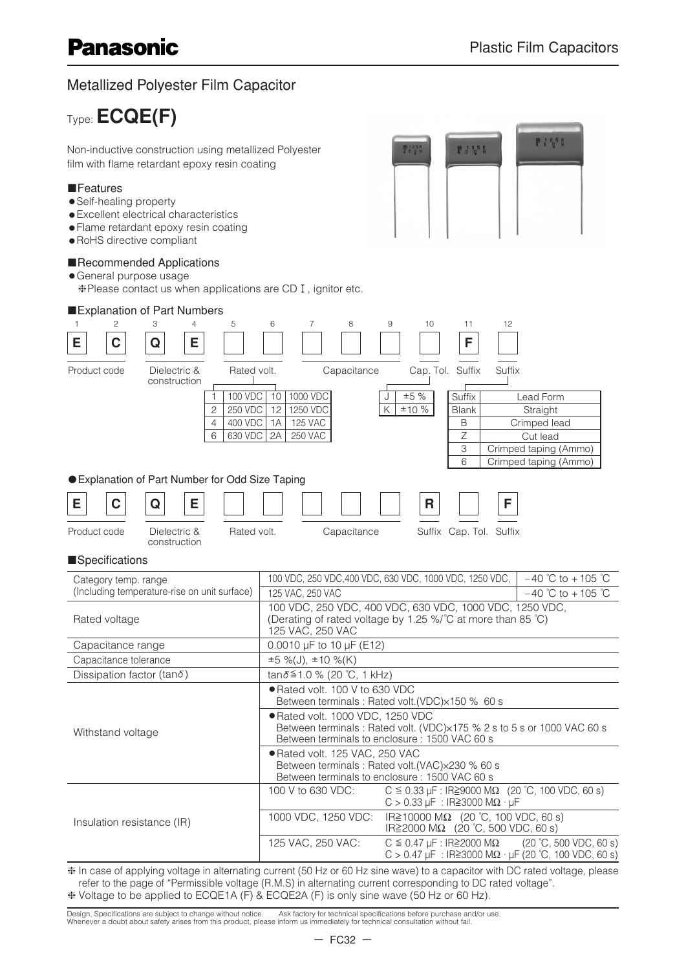$9305K$ 

**P 3 0 5 K** 

## Metallized Polyester Film Capacitor

Type:**ECQE(F)** 

Non-inductive construction using metallized Polyester film with flame retardant epoxy resin coating

#### ■Features

- •Self-healing property
- •Excellent electrical characteristics
- •Flame retardant epoxy resin coating
- •RoHS directive compliant

#### ■Recommended Applications

- •General purpose usage
	- ❈Please contact us when applications are CD , ignitor etc.



❈ Voltage to be applied to ECQE1A (F) & ECQE2A (F) is only sine wave (50 Hz or 60 Hz).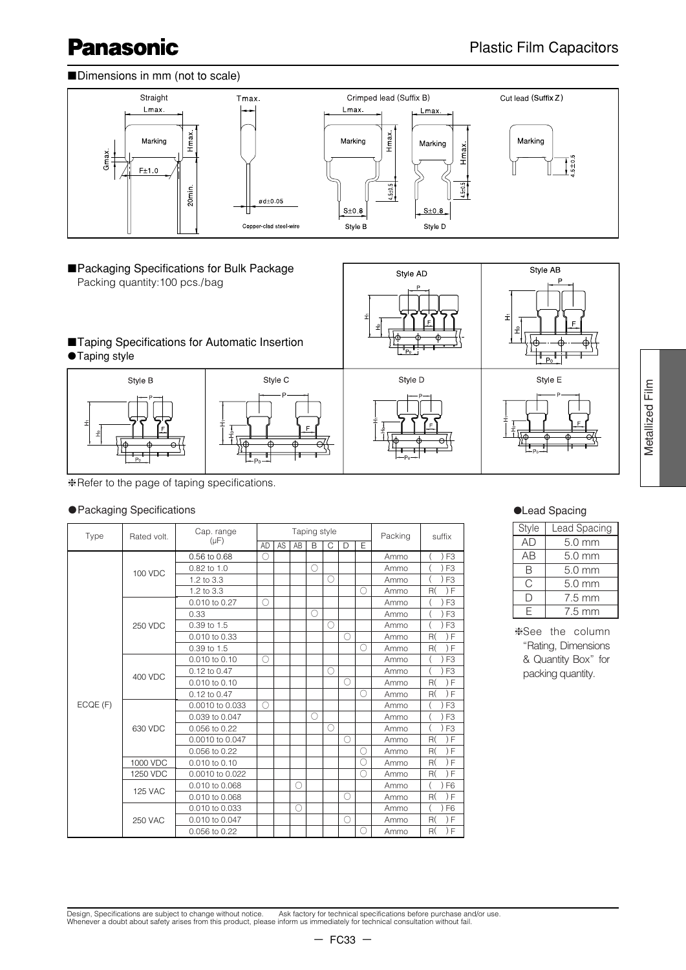Style AB

#### ■Dimensions in mm (not to scale)



Style AD



# ■Taping Specifications for Automatic Insertion



❈Refer to the page of taping specifications.

#### ●Packaging Specifications

| Type     | Rated volt.    | Cap. range       |           |    |    | Taping style |   |            |    | Packing | suffix         | Style     |
|----------|----------------|------------------|-----------|----|----|--------------|---|------------|----|---------|----------------|-----------|
|          |                | $(\mu F)$        | <b>AD</b> | AS | AB | B            | C | $\Box$     | F  |         |                | <b>AD</b> |
|          |                | $0.56$ to $0.68$ | О         |    |    |              |   |            |    | Ammo    | ) F3           | AB        |
|          | 100 VDC        | 0.82 to 1.0      |           |    |    | $\bigcirc$   |   |            |    | Ammo    | F <sub>3</sub> | B         |
|          |                | 1.2 to 3.3       |           |    |    |              | Ω |            |    | Ammo    | F <sub>3</sub> | C         |
|          |                | 1.2 to 3.3       |           |    |    |              |   |            | ∩  | Ammo    | ) F<br>R(      |           |
|          |                | 0.010 to 0.27    | ()        |    |    |              |   |            |    | Ammo    | F <sub>3</sub> | $\Box$    |
|          |                | 0.33             |           |    |    | $\bigcirc$   |   |            |    | Ammo    | F <sub>3</sub> | E.        |
|          | 250 VDC        | 0.39 to 1.5      |           |    |    |              | Ω |            |    | Ammo    | F <sub>3</sub> |           |
|          |                | 0.010 to 0.33    |           |    |    |              |   | Ω          |    | Ammo    | R(<br>) F      | *See      |
|          |                | 0.39 to 1.5      |           |    |    |              |   |            | Ω  | Ammo    | F<br>R(        | "Ra       |
|          |                | 0.010 to 0.10    | ∩         |    |    |              |   |            |    | Ammo    | F3             | & C       |
|          | 400 VDC        | 0.12 to 0.47     |           |    |    |              | ∩ |            |    | Ammo    | F <sub>3</sub> | pac       |
|          |                | 0.010 to 0.10    |           |    |    |              |   | $\circ$    |    | Ammo    | F<br>R(        |           |
|          |                | 0.12 to 0.47     |           |    |    |              |   |            | Ω  | Ammo    | R(<br>F        |           |
| ECQE (F) |                | 0.0010 to 0.033  | ()        |    |    |              |   |            |    | Ammo    | F <sub>3</sub> |           |
|          |                | 0.039 to 0.047   |           |    |    | $\bigcirc$   |   |            |    | Ammo    | F <sub>3</sub> |           |
|          | 630 VDC        | 0.056 to 0.22    |           |    |    |              | Ω |            |    | Ammo    | F <sub>3</sub> |           |
|          |                | 0.0010 to 0.047  |           |    |    |              |   | O          |    | Ammo    | ) F<br>R(      |           |
|          |                | 0.056 to 0.22    |           |    |    |              |   |            | () | Ammo    | ) F<br>R(      |           |
|          | 1000 VDC       | 0.010 to 0.10    |           |    |    |              |   |            | O  | Ammo    | R(<br>) F      |           |
|          | 1250 VDC       | 0.0010 to 0.022  |           |    |    |              |   |            | O  | Ammo    | R(<br>) F      |           |
|          | <b>125 VAC</b> | 0.010 to 0.068   |           |    | Ω  |              |   |            |    | Ammo    | F <sub>6</sub> |           |
|          |                | 0.010 to 0.068   |           |    |    |              |   | $\bigcirc$ |    | Ammo    | R(<br>) F      |           |
|          |                | 0.010 to 0.033   |           |    | Ω  |              |   |            |    | Ammo    | F <sub>6</sub> |           |
|          | <b>250 VAC</b> | 0.010 to 0.047   |           |    |    |              |   | Ω          |    | Ammo    | R(<br>) F      |           |
|          |                | 0.056 to 0.22    |           |    |    |              |   |            |    | Ammo    | F<br>R(        |           |

#### ●Lead Spacing

| Style | Lead Spacing     |
|-------|------------------|
| AD    | $5.0$ mm         |
| AB    | 5.0 mm           |
| B     | $5.0 \text{ mm}$ |
| C     | 5.0 mm           |
| I)    | $7.5 \text{ mm}$ |
| F     | $7.5 \text{ mm}$ |

Metallized Film

Metallized Film

❈See the column "Rating, Dimensions & Quantity Box" for packing quantity.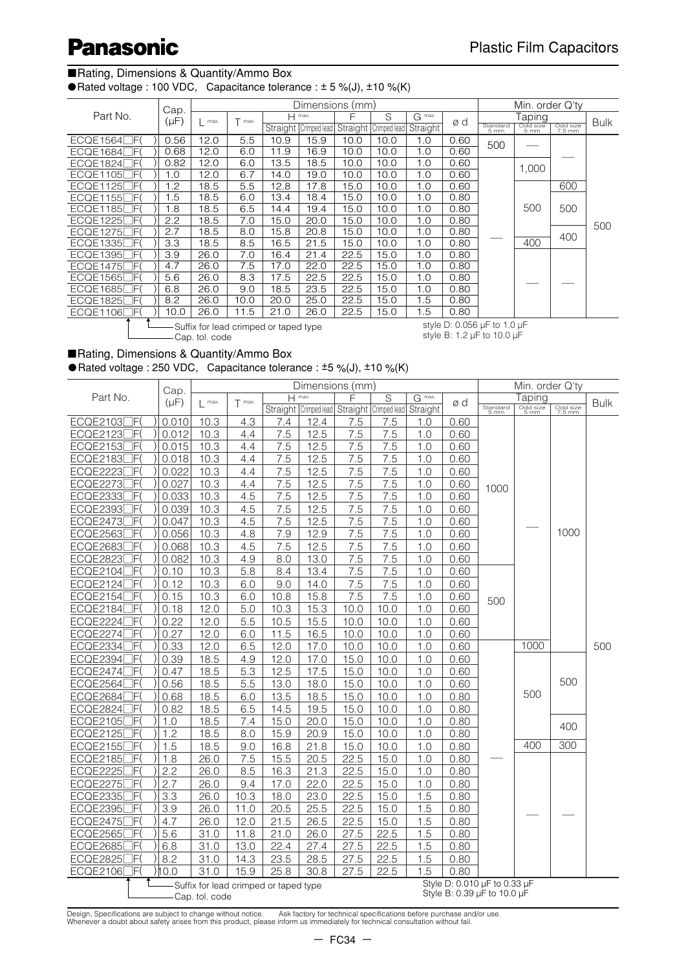#### ■Rating, Dimensions & Quantity/Ammo Box

● Rated voltage : 100 VDC, Capacitance tolerance :  $± 5$  %(J),  $± 10$  %(K)

|                           | Cap.      |                             |        |      | Dimensions (mm)       |                       |      |          |      |                             | Min. order Q'ty  |                    |             |
|---------------------------|-----------|-----------------------------|--------|------|-----------------------|-----------------------|------|----------|------|-----------------------------|------------------|--------------------|-------------|
| Part No.                  | $(\mu F)$ | max.                        | T max. |      | $H$ max.              | F                     | S    | G max.   | ød   |                             | Taping           |                    | <b>Bulk</b> |
|                           |           |                             |        |      | Straight Crimped lead | Straight Crimped lead |      | Straight |      | Standard<br>5 mm            | Odd size<br>5 mm | Odd size<br>7.5 mm |             |
| <b>ECQE1564</b><br>- IF ( | 0.56      | 12.0                        | 5.5    | 10.9 | 15.9                  | 10.0                  | 10.0 | 1.0      | 0.60 | 500                         |                  |                    |             |
| ECQE1684<br>7F)           | 0.68      | 12.0                        | 6.0    | 11.9 | 16.9                  | 10.0                  | 10.0 | 1.0      | 0.60 |                             |                  |                    |             |
| ECQE1824<br>7F(           | 0.82      | 12.0                        | 6.0    | 13.5 | 18.5                  | 10.0                  | 10.0 | 1.0      | 0.60 |                             | 1.000            |                    |             |
| <b>ECQE1105</b><br>-IE)   | 1.0       | 12.0                        | 6.7    | 14.0 | 19.0                  | 10.0                  | 10.0 | 1.0      | 0.60 |                             |                  |                    |             |
| <b>ECQE1125</b><br>-IF    | 1.2       | 18.5                        | 5.5    | 12.8 | 17.8                  | 15.0                  | 10.0 | 1.0      | 0.60 |                             |                  | 600                |             |
| <b>ECQE1155</b><br>٦F     | 1.5       | 18.5                        | 6.0    | 13.4 | 18.4                  | 15.0                  | 10.0 | 1.0      | 0.80 |                             |                  |                    |             |
| ECQE1185<br>٦F            | 1.8       | 18.5                        | 6.5    | 14.4 | 19.4                  | 15.0                  | 10.0 | 1.0      | 0.80 |                             | 500              | 500                |             |
| <b>ECQE1225</b><br>٦F     | 2.2       | 18.5                        | 7.0    | 15.0 | 20.0                  | 15.0                  | 10.0 | 1.0      | 0.80 |                             |                  |                    | 500         |
| <b>ECQE1275</b><br>- IF(  | 2.7       | 18.5                        | 8.0    | 15.8 | 20.8                  | 15.0                  | 10.0 | 1.0      | 0.80 |                             |                  | 400                |             |
| <b>ECQE1335</b><br>7F(    | 3.3       | 18.5                        | 8.5    | 16.5 | 21.5                  | 15.0                  | 10.0 | 1.0      | 0.80 |                             | 400              |                    |             |
| ECQE1395<br>-IE)          | 3.9       | 26.0                        | 7.0    | 16.4 | 21.4                  | 22.5                  | 15.0 | 1.0      | 0.80 |                             |                  |                    |             |
| ECQE1475<br>-IF(          | 4.7       | 26.0                        | 7.5    | 17.0 | 22.0                  | 22.5                  | 15.0 | 1.0      | 0.80 |                             |                  |                    |             |
| <b>ECQE1565</b><br>- IF(  | 5.6       | 26.0                        | 8.3    | 17.5 | 22.5                  | 22.5                  | 15.0 | 1.0      | 0.80 |                             |                  |                    |             |
| ECQE1685<br>7F(           | 6.8       | 26.0                        | 9.0    | 18.5 | 23.5                  | 22.5                  | 15.0 | 1.0      | 0.80 |                             |                  |                    |             |
| 7F)<br><b>ECQE1825</b>    | 8.2       | 26.0                        | 10.0   | 20.0 | 25.0                  | 22.5                  | 15.0 | 1.5      | 0.80 |                             |                  |                    |             |
| ٦F<br>ECQE1106            | 10.0      | 26.0                        | 11.5   | 21.0 | 26.0                  | 22.5                  | 15.0 | 1.5      | 0.80 |                             |                  |                    |             |
|                           |           | $\sim$ $\sim$ $\sim$ $\sim$ |        |      |                       |                       |      |          |      | $-1.1 - 1.0000$ . $-1.4000$ |                  |                    |             |

-Suffix for lead crimped or taped type Cap. tol. code

style D: 0.056 µF to 1.0 µF style B: 1.2 µF to 10.0 µF

#### ■Rating, Dimensions & Quantity/Ammo Box

● Rated voltage : 250 VDC, Capacitance tolerance :  $±5$  %(J),  $±10$  %(K)

|                        | Cap.      | Dimensions (mm)<br>$H$ max. |          |                                       |                                             |      |                         |          |      |                              | Min. order Q'ty  |          |             |  |
|------------------------|-----------|-----------------------------|----------|---------------------------------------|---------------------------------------------|------|-------------------------|----------|------|------------------------------|------------------|----------|-------------|--|
| Part No.               | $(\mu F)$ | $\mathsf{l}$ max.           | $T$ max. |                                       |                                             | F    | $\overline{\mathsf{s}}$ | G max.   | ød   |                              | Taping           |          | <b>Bulk</b> |  |
|                        |           |                             |          |                                       | Straight Crimped lead Straight Crimped lead |      |                         | Straight |      | Standard<br>5 mm             | Odd size<br>5 mm | Odd size |             |  |
| ]F(<br>ECQE2103        | 0.010     | 10.3                        | 4.3      | 7.4                                   | 12.4                                        | 7.5  | 7.5                     | 1.0      | 0.60 |                              |                  |          |             |  |
| F(<br><b>ECQE2123</b>  | 0.012     | 10.3                        | 4.4      | 7.5                                   | 12.5                                        | 7.5  | 7.5                     | 1.0      | 0.60 |                              |                  |          |             |  |
| <b>ECQE2153</b><br>]F( | 0.015     | 10.3                        | 4.4      | 7.5                                   | 12.5                                        | 7.5  | 7.5                     | 1.0      | 0.60 |                              |                  |          |             |  |
| <b>ECQE2183</b><br>]F( | 0.018     | 10.3                        | 4.4      | 7.5                                   | 12.5                                        | 7.5  | 7.5                     | 1.0      | 0.60 |                              |                  |          |             |  |
| ECQE2223<br>IF         | 0.022     | 10.3                        | 4.4      | 7.5                                   | 12.5                                        | 7.5  | 7.5                     | 1.0      | 0.60 |                              |                  |          |             |  |
| <b>ECQE2273</b><br>ΊF  | 0.027     | 10.3                        | 4.4      | 7.5                                   | 12.5                                        | 7.5  | 7.5                     | 1.0      | 0.60 | 1000                         |                  |          |             |  |
| <b>ECQE2333</b><br>]F( | 0.033     | 10.3                        | 4.5      | 7.5                                   | 12.5                                        | 7.5  | 7.5                     | 1.0      | 0.60 |                              |                  |          |             |  |
| <b>ECQE2393</b><br>1F( | 0.039     | 10.3                        | 4.5      | 7.5                                   | 12.5                                        | 7.5  | 7.5                     | 1.0      | 0.60 |                              |                  |          |             |  |
| ECQE2473[<br>]F(       | 0.047     | 10.3                        | 4.5      | 7.5                                   | 12.5                                        | 7.5  | 7.5                     | 1.0      | 0.60 |                              |                  |          |             |  |
| <b>ECQE2563</b><br>IF( | 0.056     | 10.3                        | 4.8      | 7.9                                   | 12.9                                        | 7.5  | 7.5                     | 1.0      | 0.60 |                              |                  | 1000     |             |  |
| <b>ECQE2683</b><br>1F( | 0.068     | 10.3                        | 4.5      | 7.5                                   | 12.5                                        | 7.5  | 7.5                     | 1.0      | 0.60 |                              |                  |          |             |  |
| <b>ECQE2823</b><br>IF( | 0.082     | 10.3                        | 4.9      | 8.0                                   | 13.0                                        | 7.5  | 7.5                     | 1.0      | 0.60 |                              |                  |          |             |  |
| <b>ECQE2104</b><br>ìΕ  | 0.10      | 10.3                        | 5.8      | 8.4                                   | 13.4                                        | 7.5  | 7.5                     | 1.0      | 0.60 |                              |                  |          |             |  |
| ECQE2124[<br>IF(       | 0.12      | 10.3                        | 6.0      | 9.0                                   | 14.0                                        | 7.5  | 7.5                     | 1.0      | 0.60 |                              |                  |          |             |  |
| <b>ECQE2154</b><br>]F  | 0.15      | 10.3                        | 6.0      | 10.8                                  | 15.8                                        | 7.5  | 7.5                     | 1.0      | 0.60 | 500                          |                  |          |             |  |
| ECQE2184<br>1F(        | 0.18      | 12.0                        | 5.0      | 10.3                                  | 15.3                                        | 10.0 | 10.0                    | 1.0      | 0.60 |                              |                  |          |             |  |
| <b>ECQE2224</b><br>]F( | 0.22      | 12.0                        | 5.5      | 10.5                                  | 15.5                                        | 10.0 | 10.0                    | 1.0      | 0.60 |                              |                  |          |             |  |
| ]F(<br>ECQE2274[       | 0.27      | 12.0                        | 6.0      | 11.5                                  | 16.5                                        | 10.0 | 10.0                    | 1.0      | 0.60 |                              |                  |          |             |  |
| <b>ECQE2334</b><br>IF  | 0.33      | 12.0                        | 6.5      | 12.0                                  | 17.0                                        | 10.0 | 10.0                    | 1.0      | 0.60 |                              | 1000             |          | 500         |  |
| <b>ECQE2394</b><br>JΕ  | 0.39      | 18.5                        | 4.9      | 12.0                                  | 17.0                                        | 15.0 | 10.0                    | 1.0      | 0.60 |                              |                  |          |             |  |
| <b>ECQE2474</b><br>1F( | 0.47      | 18.5                        | 5.3      | 12.5                                  | 17.5                                        | 15.0 | 10.0                    | 1.0      | 0.60 |                              |                  |          |             |  |
| <b>ECQE2564</b><br>IF۱ | 0.56      | 18.5                        | 5.5      | 13.0                                  | 18.0                                        | 15.0 | 10.0                    | 1.0      | 0.60 |                              |                  | 500      |             |  |
| ECQE2684[<br>ìΕ        | 0.68      | 18.5                        | 6.0      | 13.5                                  | 18.5                                        | 15.0 | 10.0                    | 1.0      | 0.80 |                              | 500              |          |             |  |
| ECQE2824<br>ìΕ         | 0.82      | 18.5                        | 6.5      | 14.5                                  | 19.5                                        | 15.0 | 10.0                    | 1.0      | 0.80 |                              |                  |          |             |  |
| ĴΕ<br><b>ECQE2105</b>  | 1.0       | 18.5                        | 7.4      | 15.0                                  | 20.0                                        | 15.0 | 10.0                    | 1.0      | 0.80 |                              |                  | 400      |             |  |
| <b>ECQE2125</b><br>]F( | 1.2       | 18.5                        | 8.0      | 15.9                                  | 20.9                                        | 15.0 | 10.0                    | 1.0      | 0.80 |                              |                  |          |             |  |
| <b>ECQE2155</b><br>]F  | 1.5       | 18.5                        | 9.0      | 16.8                                  | 21.8                                        | 15.0 | 10.0                    | 1.0      | 0.80 |                              | 400              | 300      |             |  |
| <b>ECQE2185</b><br>ΊF  | 1.8       | 26.0                        | 7.5      | 15.5                                  | 20.5                                        | 22.5 | 15.0                    | 1.0      | 0.80 |                              |                  |          |             |  |
| <b>ECQE2225</b><br>]F( | 2.2       | 26.0                        | 8.5      | 16.3                                  | 21.3                                        | 22.5 | 15.0                    | 1.0      | 0.80 |                              |                  |          |             |  |
| <b>ECQE2275</b><br>JΕ  | 2.7       | 26.0                        | 9.4      | 17.0                                  | 22.0                                        | 22.5 | 15.0                    | 1.0      | 0.80 |                              |                  |          |             |  |
| <b>ECQE2335</b><br>1F( | 3.3       | 26.0                        | 10.3     | 18.0                                  | 23.0                                        | 22.5 | 15.0                    | 1.5      | 0.80 |                              |                  |          |             |  |
| <b>ECQE2395</b><br>]F  | 3.9       | 26.0                        | 11.0     | 20.5                                  | 25.5                                        | 22.5 | 15.0                    | 1.5      | 0.80 |                              |                  |          |             |  |
| <b>ECQE2475</b><br>1F( | 4.7       | 26.0                        | 12.0     | 21.5                                  | 26.5                                        | 22.5 | 15.0                    | 1.5      | 0.80 |                              |                  |          |             |  |
| ]F(<br><b>ECQE2565</b> | 5.6       | 31.0                        | 11.8     | 21.0                                  | 26.0                                        | 27.5 | 22.5                    | 1.5      | 0.80 |                              |                  |          |             |  |
| <b>ECQE2685</b><br>1F( | 6.8       | 31.0                        | 13.0     | 22.4                                  | 27.4                                        | 27.5 | 22.5                    | 1.5      | 0.80 |                              |                  |          |             |  |
| <b>ECQE2825</b><br>]F( | 8.2       | 31.0                        | 14.3     | 23.5                                  | 28.5                                        | 27.5 | 22.5                    | 1.5      | 0.80 |                              |                  |          |             |  |
| ]F(<br>ECQE2106        | )10.0     | 31.0                        | 15.9     | 25.8                                  | 30.8                                        | 27.5 | 22.5                    | 1.5      | 0.80 |                              |                  |          |             |  |
|                        |           |                             |          | Suffix for lead crimped or taped type |                                             |      |                         |          |      | Style D: 0.010 µF to 0.33 µF |                  |          |             |  |
|                        |           | Cap. tol. code              |          |                                       |                                             |      |                         |          |      | Style B: 0.39 µF to 10.0 µF  |                  |          |             |  |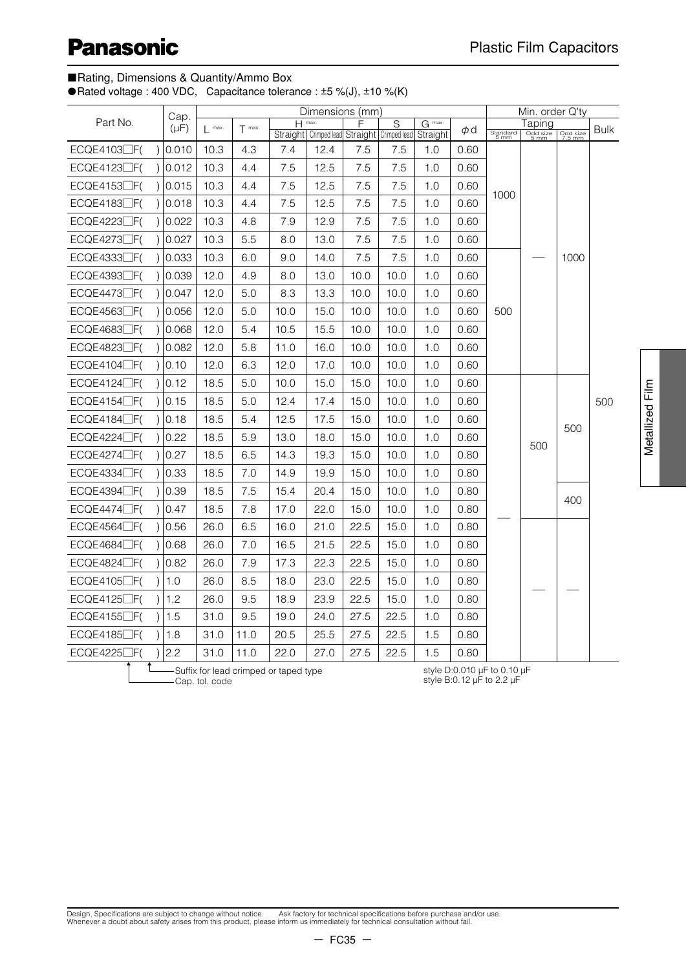#### ■Rating, Dimensions & Quantity/Ammo Box

● Rated voltage : 400 VDC, Capacitance tolerance : ±5 %(J), ±10 %(K)

|                                   | Cap.      |         |          |      | Dimensions (mm)                                     |      |      |                 |      |                  | Min. order Q'ty  |                    |      |
|-----------------------------------|-----------|---------|----------|------|-----------------------------------------------------|------|------|-----------------|------|------------------|------------------|--------------------|------|
| Part No.                          | $(\mu F)$ | $max$ . | $T$ max. |      | $H$ max.                                            |      | S    | G max.          | φd   |                  | Taping           |                    | Bulk |
| ECQE4103□F(<br>$\lambda$          | 0.010     | 10.3    | 4.3      | 7.4  | Straight Crimped lead Straight Crimped lead<br>12.4 | 7.5  | 7.5  | Straight<br>1.0 | 0.60 | Standard<br>5 mm | Odd size<br>5 mm | Odd size<br>7.5 mm |      |
| $ECQE4123$ $F($                   | 0.012     | 10.3    | 4.4      | 7.5  | 12.5                                                | 7.5  | 7.5  | 1.0             | 0.60 |                  |                  |                    |      |
| $ECQE4153$ $\Box$ F(<br>$\lambda$ | 0.015     | 10.3    | 4.4      | 7.5  | 12.5                                                | 7.5  | 7.5  | 1.0             | 0.60 |                  |                  |                    |      |
| $ECQE4183$ $F($<br>$\lambda$      | 0.018     | 10.3    | 4.4      | 7.5  | 12.5                                                | 7.5  | 7.5  | 1.0             | 0.60 | 1000             |                  |                    |      |
| ECQE4223□F(                       | 0.022     | 10.3    | 4.8      | 7.9  | 12.9                                                | 7.5  | 7.5  | 1.0             | 0.60 |                  |                  |                    |      |
| $ECQE4273$ $F($<br>$\lambda$      | 0.027     | 10.3    | 5.5      | 8.0  | 13.0                                                | 7.5  | 7.5  | 1.0             | 0.60 |                  |                  |                    |      |
| ECQE4333□F(                       | 0.033     | 10.3    | 6.0      | 9.0  | 14.0                                                | 7.5  | 7.5  | 1.0             | 0.60 |                  |                  | 1000               |      |
| ECQE4393□F(                       | 0.039     | 12.0    | 4.9      | 8.0  | 13.0                                                | 10.0 | 10.0 | 1.0             | 0.60 |                  |                  |                    |      |
| $ECQE4473$ $\Box$ F(<br>$\lambda$ | 0.047     | 12.0    | 5.0      | 8.3  | 13.3                                                | 10.0 | 10.0 | 1.0             | 0.60 |                  |                  |                    |      |
| $ECQE4563$ $F($<br>$\lambda$      | 0.056     | 12.0    | 5.0      | 10.0 | 15.0                                                | 10.0 | 10.0 | 1.0             | 0.60 | 500              |                  |                    |      |
| $ECQE4683$ $\Box$ F(              | 0.068     | 12.0    | 5.4      | 10.5 | 15.5                                                | 10.0 | 10.0 | 1.0             | 0.60 |                  |                  |                    |      |
| ECQE4823□F(<br>$\lambda$          | 0.082     | 12.0    | 5.8      | 11.0 | 16.0                                                | 10.0 | 10.0 | 1.0             | 0.60 |                  |                  |                    |      |
| $ECQE4104$ $F($<br>$\lambda$      | 0.10      | 12.0    | 6.3      | 12.0 | 17.0                                                | 10.0 | 10.0 | 1.0             | 0.60 |                  |                  |                    |      |
| $ECQE4124$ $\Box$ F(<br>$\lambda$ | 0.12      | 18.5    | 5.0      | 10.0 | 15.0                                                | 15.0 | 10.0 | 1.0             | 0.60 |                  |                  |                    |      |
| $ECQE4154$ $\Box$ F(<br>$\lambda$ | 0.15      | 18.5    | 5.0      | 12.4 | 17.4                                                | 15.0 | 10.0 | 1.0             | 0.60 |                  |                  |                    | 500  |
| $ECQE4184$ $\Box$ F(              | 0.18      | 18.5    | 5.4      | 12.5 | 17.5                                                | 15.0 | 10.0 | 1.0             | 0.60 |                  |                  | 500                |      |
| $ECQE4224$ $\Box$ F(<br>$\lambda$ | 0.22      | 18.5    | 5.9      | 13.0 | 18.0                                                | 15.0 | 10.0 | 1.0             | 0.60 |                  | 500              |                    |      |
| $ECQE4274$ $\Box$ F(              | 0.27      | 18.5    | 6.5      | 14.3 | 19.3                                                | 15.0 | 10.0 | 1.0             | 0.80 |                  |                  |                    |      |
| ECQE4334                          | 0.33      | 18.5    | 7.0      | 14.9 | 19.9                                                | 15.0 | 10.0 | 1.0             | 0.80 |                  |                  |                    |      |
| ECQE4394□F(<br>$\mathcal{E}$      | 0.39      | 18.5    | 7.5      | 15.4 | 20.4                                                | 15.0 | 10.0 | 1.0             | 0.80 |                  |                  | 400                |      |
| $ECQE4474$ $\Box$ F(              | 0.47      | 18.5    | 7.8      | 17.0 | 22.0                                                | 15.0 | 10.0 | 1.0             | 0.80 |                  |                  |                    |      |
| $ECQE4564$ $\Box$ F(              | 0.56      | 26.0    | 6.5      | 16.0 | 21.0                                                | 22.5 | 15.0 | 1.0             | 0.80 |                  |                  |                    |      |
| ECQE4684<br>$\lambda$             | 0.68      | 26.0    | 7.0      | 16.5 | 21.5                                                | 22.5 | 15.0 | 1.0             | 0.80 |                  |                  |                    |      |
| $ECQE4824$ $\Box$ F(              | 0.82      | 26.0    | 7.9      | 17.3 | 22.3                                                | 22.5 | 15.0 | 1.0             | 0.80 |                  |                  |                    |      |
| $ECQE4105$ $F($<br>$\lambda$      | 1.0       | 26.0    | 8.5      | 18.0 | 23.0                                                | 22.5 | 15.0 | 1.0             | 0.80 |                  |                  |                    |      |
| $ECQE4125$ $\Box$ F(              | 1.2       | 26.0    | 9.5      | 18.9 | 23.9                                                | 22.5 | 15.0 | 1.0             | 0.80 |                  |                  |                    |      |
| $ECQE4155$ $F($                   | 1.5       | 31.0    | 9.5      | 19.0 | 24.0                                                | 27.5 | 22.5 | 1.0             | 0.80 |                  |                  |                    |      |
| ECQE4185□F(                       | 1.8       | 31.0    | 11.0     | 20.5 | 25.5                                                | 27.5 | 22.5 | 1.5             | 0.80 |                  |                  |                    |      |
| $ECQE4225$ $F($                   | 2.2       | 31.0    | 11.0     | 22.0 | 27.0                                                | 27.5 | 22.5 | 1.5             | 0.80 |                  |                  |                    |      |

Suffix for lead crimped or taped type Cap. tol. code

style D:0.010 µF to 0.10 µF style B:0.12 µF to 2.2 µF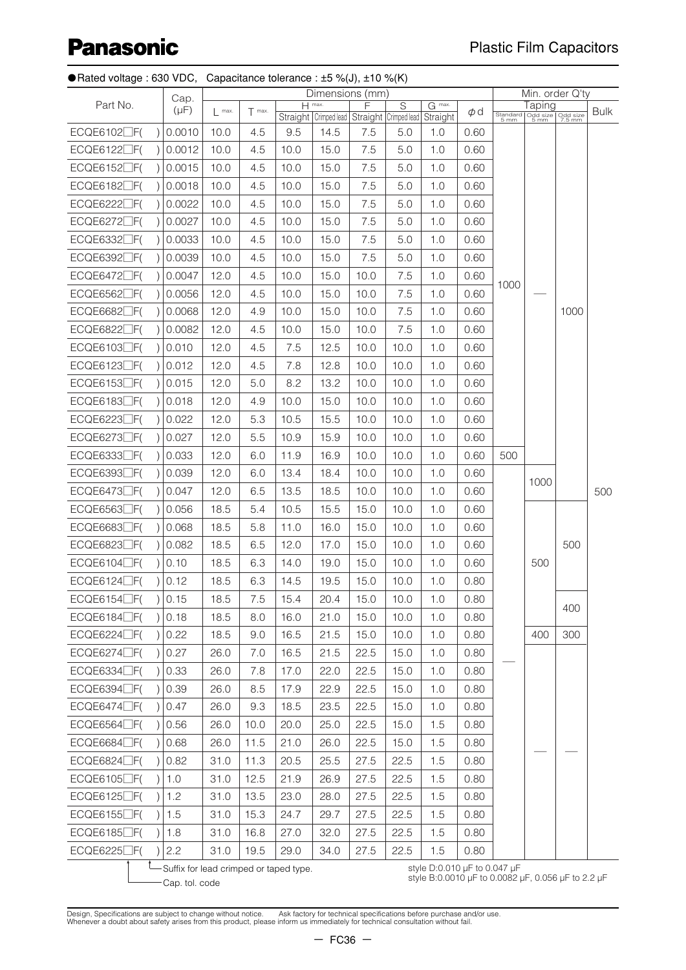## Plastic Film Capacitors

|  | ● Rated voltage : 630 VDC, Capacitance tolerance : $\pm 5 \ \% (J), \pm 10 \ \% (K)$ |  |
|--|--------------------------------------------------------------------------------------|--|
|--|--------------------------------------------------------------------------------------|--|

|                         |         | Cap.                                   |                   |          |                     | Dimensions (mm)                             |      |                |                                                                                    |      |      |        | Min. order Q'ty                       |             |
|-------------------------|---------|----------------------------------------|-------------------|----------|---------------------|---------------------------------------------|------|----------------|------------------------------------------------------------------------------------|------|------|--------|---------------------------------------|-------------|
| Part No.                |         | $(\mu F)$                              | $\mathsf{l}$ max. | $T$ max. | $H$ <sup>max.</sup> | Straight Crimped lead Straight Crimped lead | F    | $\overline{S}$ | $G$ <sup>max.</sup><br>Straight                                                    | Φd   |      | Taping | Standard Odd size<br>5 mm 5 mm 7.5 mm | <b>Bulk</b> |
| $ECQE6102$ $F($         |         | 0.0010                                 | 10.0              | 4.5      | 9.5                 | 14.5                                        | 7.5  | 5.0            | 1.0                                                                                | 0.60 |      |        |                                       |             |
| $ECQE6122$ $\Box$ F(    |         | 0.0012                                 | 10.0              | 4.5      | 10.0                | 15.0                                        | 7.5  | 5.0            | 1.0                                                                                | 0.60 |      |        |                                       |             |
| $ECQE6152$ $F($         |         | 0.0015                                 | 10.0              | 4.5      | 10.0                | 15.0                                        | 7.5  | 5.0            | 1.0                                                                                | 0.60 |      |        |                                       |             |
| $ECQE6182$ $\Box$ F(    | $\vert$ | 0.0018                                 | 10.0              | 4.5      | 10.0                | 15.0                                        | 7.5  | 5.0            | 1.0                                                                                | 0.60 |      |        |                                       |             |
| $ECQE6222$ $F($         |         | 0.0022                                 | 10.0              | 4.5      | 10.0                | 15.0                                        | 7.5  | 5.0            | 1.0                                                                                | 0.60 |      |        |                                       |             |
| $ECQE6272$ $F($         |         | 0.0027                                 | 10.0              | 4.5      | 10.0                | 15.0                                        | 7.5  | 5.0            | 1.0                                                                                | 0.60 |      |        |                                       |             |
| $ECQE6332$ $F($         |         | 0.0033                                 | 10.0              | 4.5      | 10.0                | 15.0                                        | 7.5  | 5.0            | 1.0                                                                                | 0.60 |      |        |                                       |             |
| $ECQE6392$ $F($         |         | 0.0039                                 | 10.0              | 4.5      | 10.0                | 15.0                                        | 7.5  | 5.0            | 1.0                                                                                | 0.60 |      |        |                                       |             |
| $ECQE6472$ $\Box$ F(    |         | 0.0047                                 | 12.0              | 4.5      | 10.0                | 15.0                                        | 10.0 | 7.5            | 1.0                                                                                | 0.60 |      |        |                                       |             |
| $ECQE6562$ $\Box$ F(    |         | 0.0056                                 | 12.0              | 4.5      | 10.0                | 15.0                                        | 10.0 | 7.5            | 1.0                                                                                | 0.60 | 1000 |        |                                       |             |
| $ECQE6682$ $\Box$ F(    |         | 0.0068                                 | 12.0              | 4.9      | 10.0                | 15.0                                        | 10.0 | 7.5            | 1.0                                                                                | 0.60 |      |        | 1000                                  |             |
| $ECQE6822$ $\Box$ F(    |         | 0.0082                                 | 12.0              | 4.5      | 10.0                | 15.0                                        | 10.0 | 7.5            | 1.0                                                                                | 0.60 |      |        |                                       |             |
| ECQE6103□F(             |         | 0.010                                  | 12.0              | 4.5      | 7.5                 | 12.5                                        | 10.0 | 10.0           | 1.0                                                                                | 0.60 |      |        |                                       |             |
| $ECQE6123$ $F($         | $\vert$ | 0.012                                  | 12.0              | 4.5      | 7.8                 | 12.8                                        | 10.0 | 10.0           | 1.0                                                                                | 0.60 |      |        |                                       |             |
| $ECQE6153$ $F($         |         | 0.015                                  | 12.0              | 5.0      | 8.2                 | 13.2                                        | 10.0 | 10.0           | 1.0                                                                                | 0.60 |      |        |                                       |             |
| $ECQE6183$ $\Box$ $F($  |         | 0.018                                  | 12.0              | 4.9      | 10.0                | 15.0                                        | 10.0 | 10.0           | 1.0                                                                                | 0.60 |      |        |                                       |             |
| $ECQE6223$ $F($         |         | 0.022                                  | 12.0              | 5.3      | 10.5                | 15.5                                        | 10.0 | 10.0           | 1.0                                                                                | 0.60 |      |        |                                       |             |
| $ECQE6273$ $\Box$ F(    |         | 0.027                                  | 12.0              | 5.5      | 10.9                | 15.9                                        | 10.0 | 10.0           | 1.0                                                                                | 0.60 |      |        |                                       |             |
| ECQE6333 <sup></sup> F( | $\vert$ | 0.033                                  | 12.0              | 6.0      | 11.9                | 16.9                                        | 10.0 | 10.0           | 1.0                                                                                | 0.60 | 500  |        |                                       |             |
| $ECQE6393$ $\Box$ F(    |         | 0.039                                  | 12.0              | 6.0      | 13.4                | 18.4                                        | 10.0 | 10.0           | 1.0                                                                                | 0.60 |      |        |                                       |             |
| $ECQE6473$ $\Box$ F(    |         | 0.047                                  | 12.0              | 6.5      | 13.5                | 18.5                                        | 10.0 | 10.0           | 1.0                                                                                | 0.60 |      | 1000   |                                       | 500         |
| $ECQE6563$ $\Box$ F(    |         | 0.056                                  | 18.5              | 5.4      | 10.5                | 15.5                                        | 15.0 | 10.0           | 1.0                                                                                | 0.60 |      |        |                                       |             |
| $ECQE6683$ $\Box$ F(    |         | 0.068                                  | 18.5              | 5.8      | 11.0                | 16.0                                        | 15.0 | 10.0           | 1.0                                                                                | 0.60 |      |        |                                       |             |
| $ECQE6823$ $F($         | $\vert$ | 0.082                                  | 18.5              | 6.5      | 12.0                | 17.0                                        | 15.0 | 10.0           | 1.0                                                                                | 0.60 |      |        | 500                                   |             |
| $ECQE6104$ $\Box$ F(    |         | 0.10                                   | 18.5              | 6.3      | 14.0                | 19.0                                        | 15.0 | 10.0           | 1.0                                                                                | 0.60 |      | 500    |                                       |             |
| $ECQE6124$ $\Box$ F(    |         | 0.12                                   | 18.5              | 6.3      | 14.5                | 19.5                                        | 15.0 | 10.0           | 1.0                                                                                | 0.80 |      |        |                                       |             |
| $ECQE6154$ $\Box$ F(    |         | 0.15                                   | 18.5              | 7.5      | 15.4                | 20.4                                        | 15.0 | 10.0           | 1.0                                                                                | 0.80 |      |        |                                       |             |
| $ECQE6184$ $\Box$ F(    |         | 0.18                                   | 18.5              | 8.0      | 16.0                | 21.0                                        | 15.0 | 10.0           | 1.0                                                                                | 0.80 |      |        | 400                                   |             |
| $ECQE6224$ $\Box$ F(    | $\vert$ | 0.22                                   | 18.5              | 9.0      | 16.5                | 21.5                                        | 15.0 | 10.0           | 1.0                                                                                | 0.80 |      | 400    | 300                                   |             |
| $ECQE6274$ $\Box$ F(    |         | 0.27                                   | 26.0              | 7.0      | 16.5                | 21.5                                        | 22.5 | 15.0           | 1.0                                                                                | 0.80 |      |        |                                       |             |
| $ECQE6334$ $F($         |         | 0.33                                   | 26.0              | 7.8      | 17.0                | 22.0                                        | 22.5 | 15.0           | 1.0                                                                                | 0.80 |      |        |                                       |             |
| $ECQE6394$ $\Box$ F(    |         | 0.39                                   | 26.0              | 8.5      | 17.9                | 22.9                                        | 22.5 | 15.0           | 1.0                                                                                | 0.80 |      |        |                                       |             |
| $ECQE6474$ $\Box$ F(    |         | 0.47                                   | 26.0              | 9.3      | 18.5                | 23.5                                        | 22.5 | 15.0           | 1.0                                                                                | 0.80 |      |        |                                       |             |
| $ECQE6564$ $\Box$ F(    |         | 0.56                                   | 26.0              | 10.0     | 20.0                | 25.0                                        | 22.5 | 15.0           | 1.5                                                                                | 0.80 |      |        |                                       |             |
| $ECQE6684$ $\Box$ F(    |         | 0.68                                   | 26.0              | 11.5     | 21.0                | 26.0                                        | 22.5 | 15.0           | 1.5                                                                                | 0.80 |      |        |                                       |             |
| $ECQE6824$ $\Box$ F(    |         | 0.82                                   | 31.0              | 11.3     | 20.5                | 25.5                                        | 27.5 | 22.5           | 1.5                                                                                | 0.80 |      |        |                                       |             |
| $ECQE6105$ $F($         |         | 1.0                                    | 31.0              | 12.5     | 21.9                | 26.9                                        | 27.5 | 22.5           | 1.5                                                                                | 0.80 |      |        |                                       |             |
| $ECQE6125$ $\Box$ F(    |         | 1.2                                    | 31.0              | 13.5     | 23.0                | 28.0                                        | 27.5 | 22.5           | 1.5                                                                                | 0.80 |      |        |                                       |             |
| $ECQE6155$ $\Box$ F(    |         | 1.5                                    | 31.0              | 15.3     | 24.7                | 29.7                                        | 27.5 | 22.5           | 1.5                                                                                | 0.80 |      |        |                                       |             |
| $ECQE6185$ $\Box$ F(    |         | 1.8                                    | 31.0              | 16.8     | 27.0                | 32.0                                        | 27.5 | 22.5           | 1.5                                                                                | 0.80 |      |        |                                       |             |
| $ECQE6225$ $F($         |         | 2.2                                    | 31.0              | 19.5     | 29.0                | 34.0                                        | 27.5 | 22.5           | 1.5                                                                                | 0.80 |      |        |                                       |             |
|                         |         | Suffix for lead crimped or taped type. |                   |          |                     |                                             |      |                | style D:0.010 µF to 0.047 µF<br>style B:0.0010 µF to 0.0082 µF, 0.056 µF to 2.2 µF |      |      |        |                                       |             |
|                         |         | Cap. tol. code                         |                   |          |                     |                                             |      |                |                                                                                    |      |      |        |                                       |             |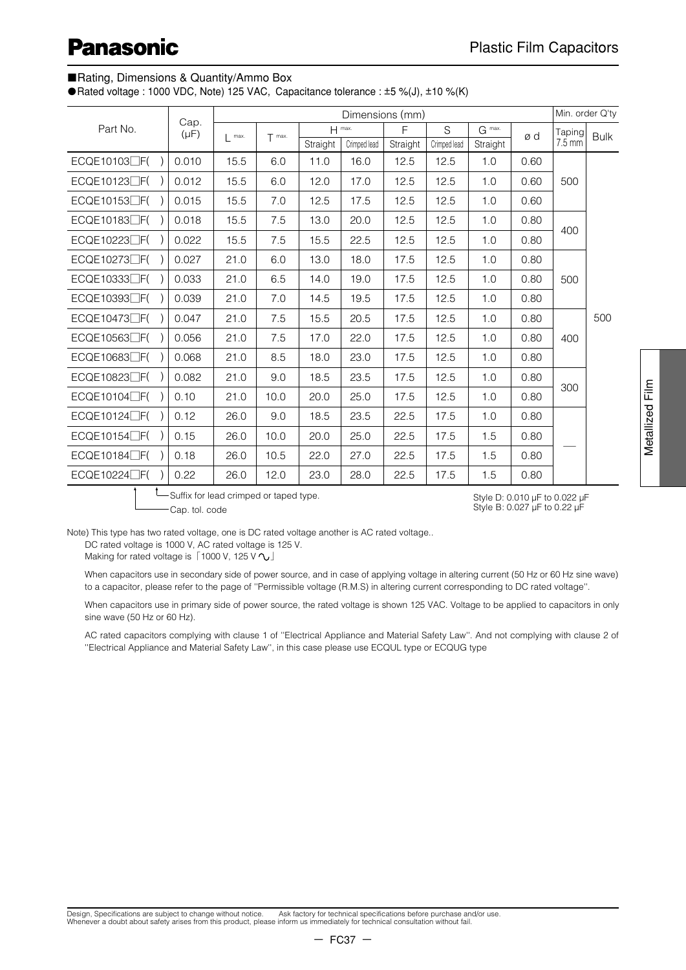#### ■Rating, Dimensions & Quantity/Ammo Box

●Rated voltage : 1000 VDC, Note) 125 VAC, Capacitance tolerance : ±5 %(J), ±10 %(K)

|                           |                   |      |          |          | Dimensions (mm) |          |              |          |      | Min. order Q'ty  |             |
|---------------------------|-------------------|------|----------|----------|-----------------|----------|--------------|----------|------|------------------|-------------|
| Part No.                  | Cap.<br>$(\mu F)$ | max. | $T$ max. |          | H max.          | F        | S            | $G$ max. | ød   | Taping           | <b>Bulk</b> |
|                           |                   |      |          | Straight | Crimped lead    | Straight | Crimped lead | Straight |      | $7.5 \text{ mm}$ |             |
| ECQE10103 <sub>DF</sub> ( | 0.010             | 15.5 | 6.0      | 11.0     | 16.0            | 12.5     | 12.5         | 1.0      | 0.60 |                  |             |
| ECQE10123 <sub>LF</sub> ( | 0.012             | 15.5 | 6.0      | 12.0     | 17.0            | 12.5     | 12.5         | 1.0      | 0.60 | 500              |             |
| ECQE10153□F(              | 0.015             | 15.5 | 7.0      | 12.5     | 17.5            | 12.5     | 12.5         | 1.0      | 0.60 |                  |             |
| ECQE10183 <sub>[F</sub> ( | 0.018             | 15.5 | 7.5      | 13.0     | 20.0            | 12.5     | 12.5         | 1.0      | 0.80 | 400              |             |
| ECQE10223□F(              | 0.022             | 15.5 | 7.5      | 15.5     | 22.5            | 12.5     | 12.5         | 1.0      | 0.80 |                  |             |
| ECQE10273 <sub>LF</sub> ( | 0.027             | 21.0 | 6.0      | 13.0     | 18.0            | 17.5     | 12.5         | 1.0      | 0.80 |                  |             |
| ECQE10333 <sub>DF(</sub>  | 0.033             | 21.0 | 6.5      | 14.0     | 19.0            | 17.5     | 12.5         | 1.0      | 0.80 | 500              |             |
| ECQE10393 <sub></sub>     | 0.039             | 21.0 | 7.0      | 14.5     | 19.5            | 17.5     | 12.5         | 1.0      | 0.80 |                  |             |
| ECQE10473□F(              | 0.047             | 21.0 | 7.5      | 15.5     | 20.5            | 17.5     | 12.5         | 1.0      | 0.80 |                  | 500         |
| ECQE10563□F(              | 0.056             | 21.0 | 7.5      | 17.0     | 22.0            | 17.5     | 12.5         | 1.0      | 0.80 | 400              |             |
| ECQE10683 <sub>LF</sub> ( | 0.068             | 21.0 | 8.5      | 18.0     | 23.0            | 17.5     | 12.5         | 1.0      | 0.80 |                  |             |
| ECQE10823□F(              | 0.082             | 21.0 | 9.0      | 18.5     | 23.5            | 17.5     | 12.5         | 1.0      | 0.80 |                  |             |
| ECQE10104□F(              | 0.10              | 21.0 | 10.0     | 20.0     | 25.0            | 17.5     | 12.5         | 1.0      | 0.80 | 300              |             |
| ECQE10124□F(              | 0.12              | 26.0 | 9.0      | 18.5     | 23.5            | 22.5     | 17.5         | 1.0      | 0.80 |                  |             |
| ECQE10154□F(              | 0.15              | 26.0 | 10.0     | 20.0     | 25.0            | 22.5     | 17.5         | 1.5      | 0.80 |                  |             |
| ECQE10184□F(              | 0.18              | 26.0 | 10.5     | 22.0     | 27.0            | 22.5     | 17.5         | 1.5      | 0.80 |                  |             |
| ECQE10224□F(              | 0.22              | 26.0 | 12.0     | 23.0     | 28.0            | 22.5     | 17.5         | 1.5      | 0.80 |                  |             |
| $\ddot{\bullet}$          |                   |      |          |          |                 |          |              |          |      |                  |             |

<sup>L</sup>—Suffix for lead crimped or taped type.

Style D: 0.010 µF to 0.022 µF Style B: 0.027 µF to 0.22 µF

Note) This type has two rated voltage, one is DC rated voltage another is AC rated voltage..

DC rated voltage is 1000 V, AC rated voltage is 125 V.

Cap. tol. code

Making for rated voltage is**「**1000 V, 125 V **」**

When capacitors use in secondary side of power source, and in case of applying voltage in altering current (50 Hz or 60 Hz sine wave) to a capacitor, please refer to the page of ''Permissible voltage (R.M.S) in altering current corresponding to DC rated voltage''.

When capacitors use in primary side of power source, the rated voltage is shown 125 VAC. Voltage to be applied to capacitors in only sine wave (50 Hz or 60 Hz).

AC rated capacitors complying with clause 1 of ''Electrical Appliance and Material Safety Law''. And not complying with clause 2 of ''Electrical Appliance and Material Safety Law'', in this case please use ECQUL type or ECQUG type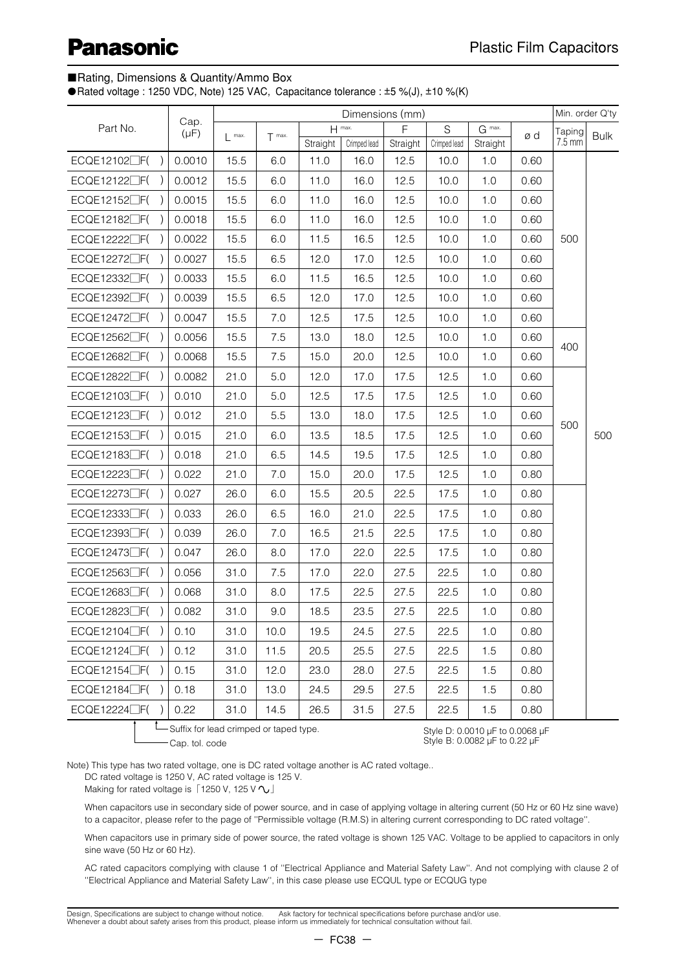#### ■Rating, Dimensions & Quantity/Ammo Box

●Rated voltage : 1250 VDC, Note) 125 VAC, Capacitance tolerance : ±5 %(J), ±10 %(K)

|                           |                                         | Min. order Q'ty<br>Dimensions (mm)<br>$H$ max. |          |                  |                      |                  |                      |                                 |      |                            |             |
|---------------------------|-----------------------------------------|------------------------------------------------|----------|------------------|----------------------|------------------|----------------------|---------------------------------|------|----------------------------|-------------|
| Part No.                  | Cap.<br>$(\mu F)$                       | max.                                           | $T$ max. |                  |                      | F                | S                    | G max.                          | ød   | Taping<br>$7.5 \text{ mm}$ | <b>Bulk</b> |
|                           | 0.0010                                  | 15.5                                           | 6.0      | Straight<br>11.0 | Crimped lead<br>16.0 | Straight<br>12.5 | Crimped lead<br>10.0 | Straight<br>1.0                 | 0.60 |                            |             |
| ECQE12102□F(              |                                         |                                                |          |                  |                      |                  |                      |                                 |      |                            |             |
| ECQE12122□F(              | 0.0012                                  | 15.5                                           | 6.0      | 11.0             | 16.0                 | 12.5             | 10.0                 | 1.0                             | 0.60 |                            |             |
| ECQE12152 <sub>LF</sub> ( | 0.0015                                  | 15.5                                           | 6.0      | 11.0             | 16.0                 | 12.5             | 10.0                 | 1.0                             | 0.60 |                            |             |
| ECQE12182□F(              | 0.0018                                  | 15.5                                           | 6.0      | 11.0             | 16.0                 | 12.5             | 10.0                 | 1.0                             | 0.60 |                            |             |
| ECQE12222□F(              | 0.0022                                  | 15.5                                           | 6.0      | 11.5             | 16.5                 | 12.5             | 10.0                 | 1.0                             | 0.60 | 500                        |             |
| ECQE12272□F(              | 0.0027                                  | 15.5                                           | 6.5      | 12.0             | 17.0                 | 12.5             | 10.0                 | 1.0                             | 0.60 |                            |             |
| ECQE12332 <sub>F(</sub>   | 0.0033                                  | 15.5                                           | 6.0      | 11.5             | 16.5                 | 12.5             | 10.0                 | 1.0                             | 0.60 |                            |             |
| ECQE12392□F(              | 0.0039                                  | 15.5                                           | 6.5      | 12.0             | 17.0                 | 12.5             | 10.0                 | 1.0                             | 0.60 |                            |             |
| $ECQE12472$ $\Box$ $F($   | 0.0047                                  | 15.5                                           | 7.0      | 12.5             | 17.5                 | 12.5             | 10.0                 | 1.0                             | 0.60 |                            |             |
| ECQE12562□F(              | 0.0056                                  | 15.5                                           | 7.5      | 13.0             | 18.0                 | 12.5             | 10.0                 | 1.0                             | 0.60 | 400                        |             |
| ECQE12682□F(              | 0.0068                                  | 15.5                                           | 7.5      | 15.0             | 20.0                 | 12.5             | 10.0                 | 1.0                             | 0.60 |                            |             |
| ECQE12822□F(              | 0.0082                                  | 21.0                                           | 5.0      | 12.0             | 17.0                 | 17.5             | 12.5                 | 1.0                             | 0.60 |                            |             |
| ECQE12103□F(              | 0.010                                   | 21.0                                           | 5.0      | 12.5             | 17.5                 | 17.5             | 12.5                 | 1.0                             | 0.60 |                            |             |
| ECQE12123□F(              | 0.012                                   | 21.0                                           | 5.5      | 13.0             | 18.0                 | 17.5             | 12.5                 | 1.0                             | 0.60 |                            |             |
| ECQE12153 <sub>F</sub> (  | 0.015                                   | 21.0                                           | 6.0      | 13.5             | 18.5                 | 17.5             | 12.5                 | 1.0                             | 0.60 | 500                        | 500         |
| $ECQE12183$ $\Box$ $F($   | 0.018                                   | 21.0                                           | 6.5      | 14.5             | 19.5                 | 17.5             | 12.5                 | 1.0                             | 0.80 |                            |             |
| ECQE12223□F(              | 0.022                                   | 21.0                                           | 7.0      | 15.0             | 20.0                 | 17.5             | 12.5                 | 1.0                             | 0.80 |                            |             |
| ECQE12273 <sub>LF</sub> ( | 0.027                                   | 26.0                                           | 6.0      | 15.5             | 20.5                 | 22.5             | 17.5                 | 1.0                             | 0.80 |                            |             |
| ECQE12333 <sup></sup>     | 0.033                                   | 26.0                                           | 6.5      | 16.0             | 21.0                 | 22.5             | 17.5                 | 1.0                             | 0.80 |                            |             |
| ECQE12393□F(              | 0.039                                   | 26.0                                           | $7.0\,$  | 16.5             | 21.5                 | 22.5             | 17.5                 | 1.0                             | 0.80 |                            |             |
| ECQE12473 <sub>LF</sub> ( | 0.047                                   | 26.0                                           | 8.0      | 17.0             | 22.0                 | 22.5             | 17.5                 | 1.0                             | 0.80 |                            |             |
| ECQE12563 <sub>F</sub> (  | 0.056                                   | 31.0                                           | 7.5      | 17.0             | 22.0                 | 27.5             | 22.5                 | 1.0                             | 0.80 |                            |             |
| ECQE12683 <sub></sub>     | 0.068                                   | 31.0                                           | 8.0      | 17.5             | 22.5                 | 27.5             | 22.5                 | 1.0                             | 0.80 |                            |             |
| ECQE12823 <sub>F</sub> (  | 0.082                                   | 31.0                                           | 9.0      | 18.5             | 23.5                 | 27.5             | 22.5                 | 1.0                             | 0.80 |                            |             |
| $ECQE12104\Box F( )$      | 0.10                                    | 31.0                                           | 10.0     | 19.5             | 24.5                 | 27.5             | 22.5                 | 1.0                             | 0.80 |                            |             |
| $ECQE12124$ $\Box$ F(     | 0.12                                    | 31.0                                           | 11.5     | 20.5             | 25.5                 | 27.5             | 22.5                 | 1.5                             | 0.80 |                            |             |
| $ECQE12154$ $\Box$ F(     | 0.15                                    | 31.0                                           | 12.0     | 23.0             | 28.0                 | 27.5             | 22.5                 | 1.5                             | 0.80 |                            |             |
| $ECQE12184$ $\Box$ F(     | 0.18                                    | 31.0                                           | 13.0     | 24.5             | 29.5                 | 27.5             | 22.5                 | 1.5                             | 0.80 |                            |             |
| ECQE12224□F(              | 0.22                                    | 31.0                                           | 14.5     | 26.5             | 31.5                 | 27.5             | 22.5                 | 1.5                             | 0.80 |                            |             |
|                           | -Suffix for lead crimped or taped type. |                                                |          |                  |                      |                  |                      | Style D: 0.0010 uF to 0.0068 uF |      |                            |             |

Note) This type has two rated voltage, one is DC rated voltage another is AC rated voltage..

DC rated voltage is 1250 V, AC rated voltage is 125 V.

Cap. tol. code

Making for rated voltage is**「**1250 V, 125 V **」**

When capacitors use in secondary side of power source, and in case of applying voltage in altering current (50 Hz or 60 Hz sine wave) to a capacitor, please refer to the page of ''Permissible voltage (R.M.S) in altering current corresponding to DC rated voltage''.

Style D: 0.0010 µF to 0.0068 µF Style B: 0.0082 µF to 0.22 µF

When capacitors use in primary side of power source, the rated voltage is shown 125 VAC. Voltage to be applied to capacitors in only sine wave (50 Hz or 60 Hz).

AC rated capacitors complying with clause 1 of ''Electrical Appliance and Material Safety Law''. And not complying with clause 2 of ''Electrical Appliance and Material Safety Law'', in this case please use ECQUL type or ECQUG type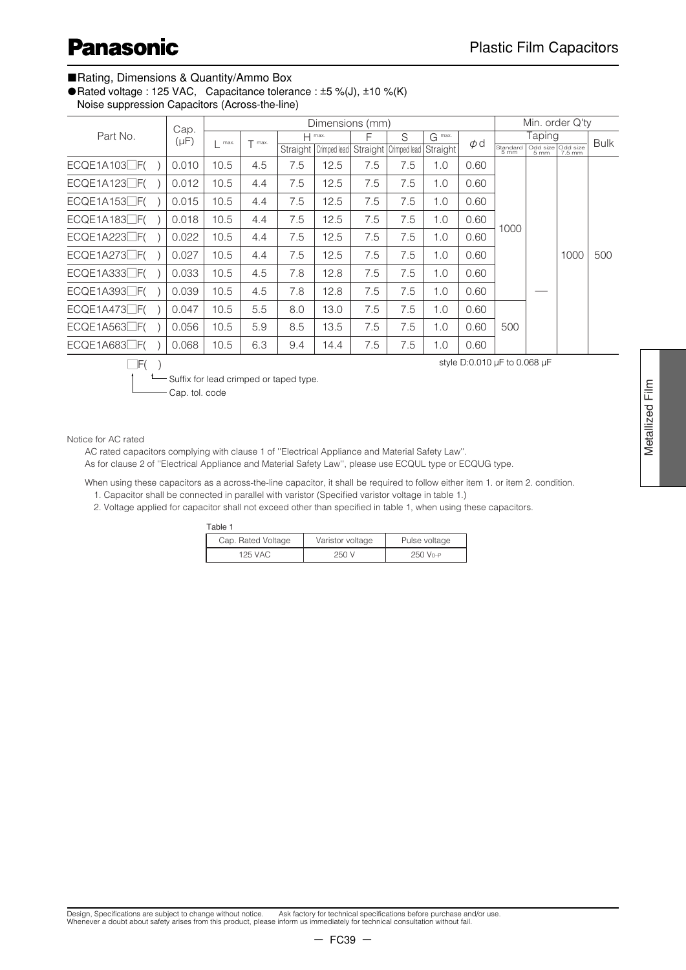#### ■Rating, Dimensions & Quantity/Ammo Box

● Rated voltage : 125 VAC, Capacitance tolerance : ±5 %(J), ±10 %(K)

Noise suppression Capacitors (Across-the-line)

|                  | Cap. |           |      |          | Dimensions (mm) |                       |     |                       |          |          |                  | Min. order Q'ty |                             |             |
|------------------|------|-----------|------|----------|-----------------|-----------------------|-----|-----------------------|----------|----------|------------------|-----------------|-----------------------------|-------------|
| Part No.         |      | $(\mu F)$ | max. | $T$ max. |                 | $H$ max.              |     | S                     | G max.   | $\phi$ d |                  | Taping          |                             | <b>Bulk</b> |
|                  |      |           |      |          |                 | Straight Crimped lead |     | Straight Crimped lead | Straight |          | Standard<br>5 mm | 5 mm            | Odd size Odd size<br>7.5 mm |             |
| $ECQE1A103$ $F($ |      | 0.010     | 10.5 | 4.5      | 7.5             | 12.5                  | 7.5 | 7.5                   | 1.0      | 0.60     |                  |                 |                             |             |
| $ECQE1A123$ $F($ |      | 0.012     | 10.5 | 4.4      | 7.5             | 12.5                  | 7.5 | 7.5                   | 1.0      | 0.60     |                  |                 |                             |             |
| $ECQE1A153$ $F($ |      | 0.015     | 10.5 | 4.4      | 7.5             | 12.5                  | 7.5 | 7.5                   | 1.0      | 0.60     |                  |                 |                             |             |
| ECQE1A183□F(     |      | 0.018     | 10.5 | 4.4      | 7.5             | 12.5                  | 7.5 | 7.5                   | 1.0      | 0.60     | 1000             |                 |                             |             |
| $ECQE1A223$ $F($ |      | 0.022     | 10.5 | 4.4      | 7.5             | 12.5                  | 7.5 | 7.5                   | 1.0      | 0.60     |                  |                 |                             |             |
| $ECQE1A273$ $F($ |      | 0.027     | 10.5 | 4.4      | 7.5             | 12.5                  | 7.5 | 7.5                   | 1.0      | 0.60     |                  |                 | 1000                        | 500         |
| $ECQE1A333$ $F($ |      | 0.033     | 10.5 | 4.5      | 7.8             | 12.8                  | 7.5 | 7.5                   | 1.0      | 0.60     |                  |                 |                             |             |
| $ECQE1A393$ $F($ |      | 0.039     | 10.5 | 4.5      | 7.8             | 12.8                  | 7.5 | 7.5                   | 1.0      | 0.60     |                  |                 |                             |             |
| $ECQE1A473$ $F($ |      | 0.047     | 10.5 | 5.5      | 8.0             | 13.0                  | 7.5 | 7.5                   | 1.0      | 0.60     |                  |                 |                             |             |
| $ECQE1A563$ $F($ |      | 0.056     | 10.5 | 5.9      | 8.5             | 13.5                  | 7.5 | 7.5                   | 1.0      | 0.60     | 500              |                 |                             |             |
| $ECQE1A683$ $F($ |      | 0.068     | 10.5 | 6.3      | 9.4             | 14.4                  | 7.5 | 7.5                   | 1.0      | 0.60     |                  |                 |                             |             |

Suffix for lead crimped or taped type.  $\Box F()$ 

Cap. tol. code

style D:0.010 µF to 0.068 µF

Metallized Film

Metallized Film

Notice for AC rated

AC rated capacitors complying with clause 1 of ''Electrical Appliance and Material Safety Law''.

As for clause 2 of ''Electrical Appliance and Material Safety Law'', please use ECQUL type or ECQUG type.

When using these capacitors as a across-the-line capacitor, it shall be required to follow either item 1. or item 2. condition. 1. Capacitor shall be connected in parallel with varistor (Specified varistor voltage in table 1.)

2. Voltage applied for capacitor shall not exceed other than specified in table 1, when using these capacitors.

Table 1

| Cap. Rated Voltage | Varistor voltage | Pulse voltage |
|--------------------|------------------|---------------|
| 125 VAC            | 250 V            | 250 Vo-P      |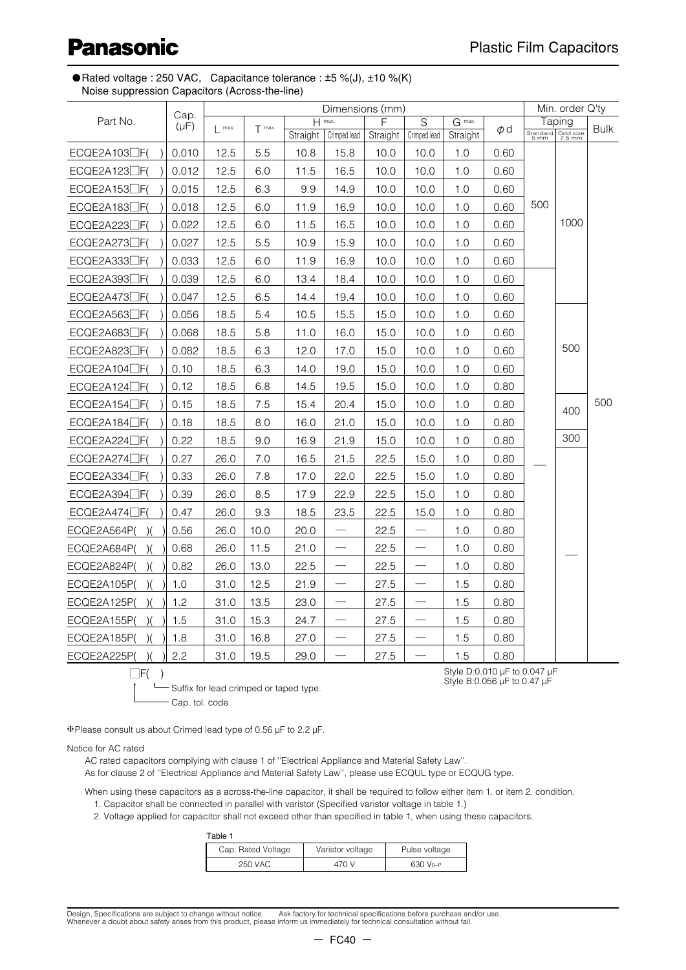● Rated voltage : 250 VAC, Capacitance tolerance : ±5 %(J), ±10 %(K) Noise suppression Capacitors (Across-the-line)

|                          | Cap.      |      |          |          | Dimensions (mm)               |          |                                  |          |      |     | Min. order Q'ty                      |      |
|--------------------------|-----------|------|----------|----------|-------------------------------|----------|----------------------------------|----------|------|-----|--------------------------------------|------|
| Part No.                 | $(\mu F)$ | max. | $T$ max. | H        | max.                          | F        | S                                | $G$ max. | Φd   |     | Taping<br>Standard<br>5 mm<br>7.5 mm | Bulk |
|                          |           |      |          | Straight | Crimped lead                  | Straight | Crimped lead                     | Straight |      |     |                                      |      |
| ECQE2A103 <sup></sup> F( | 0.010     | 12.5 | 5.5      | 10.8     | 15.8                          | 10.0     | 10.0                             | 1.0      | 0.60 |     |                                      |      |
| ECQE2A123 <sub>F(</sub>  | 0.012     | 12.5 | 6.0      | 11.5     | 16.5                          | 10.0     | 10.0                             | 1.0      | 0.60 |     |                                      |      |
| ECQE2A153                | 0.015     | 12.5 | 6.3      | 9.9      | 14.9                          | 10.0     | 10.0                             | 1.0      | 0.60 |     |                                      |      |
| ECQE2A183 <sup></sup> F( | 0.018     | 12.5 | 6.0      | 11.9     | 16.9                          | 10.0     | 10.0                             | 1.0      | 0.60 | 500 |                                      |      |
| ECQE2A223□F(             | 0.022     | 12.5 | 6.0      | 11.5     | 16.5                          | 10.0     | 10.0                             | 1.0      | 0.60 |     | 1000                                 |      |
| ECQE2A273 <sub>F(</sub>  | 0.027     | 12.5 | 5.5      | 10.9     | 15.9                          | 10.0     | 10.0                             | 1.0      | 0.60 |     |                                      |      |
| ECQE2A333 <sup></sup> F( | 0.033     | 12.5 | 6.0      | 11.9     | 16.9                          | 10.0     | 10.0                             | 1.0      | 0.60 |     |                                      |      |
| ECQE2A393 <sup></sup> F( | 0.039     | 12.5 | 6.0      | 13.4     | 18.4                          | 10.0     | 10.0                             | 1.0      | 0.60 |     |                                      |      |
| ECQE2A473□F(             | 0.047     | 12.5 | 6.5      | 14.4     | 19.4                          | 10.0     | 10.0                             | 1.0      | 0.60 |     |                                      |      |
| ECQE2A563 <sup></sup> F( | 0.056     | 18.5 | 5.4      | 10.5     | 15.5                          | 15.0     | 10.0                             | 1.0      | 0.60 |     |                                      |      |
| ECQE2A683 <sup></sup> F( | 0.068     | 18.5 | 5.8      | 11.0     | 16.0                          | 15.0     | 10.0                             | 1.0      | 0.60 |     |                                      |      |
| ECQE2A823 <sup></sup> F( | 0.082     | 18.5 | 6.3      | 12.0     | 17.0                          | 15.0     | 10.0                             | 1.0      | 0.60 |     | 500                                  |      |
| $ECQE2A104$ $F($         | 0.10      | 18.5 | 6.3      | 14.0     | 19.0                          | 15.0     | 10.0                             | 1.0      | 0.60 |     |                                      |      |
| ECQE2A124□F(             | 0.12      | 18.5 | 6.8      | 14.5     | 19.5                          | 15.0     | 10.0                             | 1.0      | 0.80 |     |                                      |      |
| $ECQE2A154$ $\Box$ F(    | 0.15      | 18.5 | 7.5      | 15.4     | 20.4                          | 15.0     | 10.0                             | 1.0      | 0.80 |     | 400                                  | 500  |
| ECQE2A184□F(             | 0.18      | 18.5 | 8.0      | 16.0     | 21.0                          | 15.0     | 10.0                             | 1.0      | 0.80 |     |                                      |      |
| $ECQE2A224$ $F($         | 0.22      | 18.5 | 9.0      | 16.9     | 21.9                          | 15.0     | 10.0                             | 1.0      | 0.80 |     | 300                                  |      |
| ECQE2A274□F(             | 0.27      | 26.0 | 7.0      | 16.5     | 21.5                          | 22.5     | 15.0                             | 1.0      | 0.80 |     |                                      |      |
| ECQE2A334□F(             | 0.33      | 26.0 | 7.8      | 17.0     | 22.0                          | 22.5     | 15.0                             | 1.0      | 0.80 |     |                                      |      |
| ECQE2A394□F(             | 0.39      | 26.0 | 8.5      | 17.9     | 22.9                          | 22.5     | 15.0                             | 1.0      | 0.80 |     |                                      |      |
| $ECQE2A474$ $\Box$ F(    | 0.47      | 26.0 | 9.3      | 18.5     | 23.5                          | 22.5     | 15.0                             | 1.0      | 0.80 |     |                                      |      |
| ECQE2A564P(              | 0.56      | 26.0 | 10.0     | 20.0     | $\overline{\phantom{0}}$      | 22.5     |                                  | 1.0      | 0.80 |     |                                      |      |
| ECQE2A684P(              | 0.68      | 26.0 | 11.5     | 21.0     |                               | 22.5     | $\overbrace{\qquad \qquad }^{ }$ | 1.0      | 0.80 |     |                                      |      |
| ECQE2A824P(              | 0.82      | 26.0 | 13.0     | 22.5     |                               | 22.5     | $\overline{\phantom{0}}$         | 1.0      | 0.80 |     |                                      |      |
| ECQE2A105P(              | 1.0       | 31.0 | 12.5     | 21.9     |                               | 27.5     |                                  | 1.5      | 0.80 |     |                                      |      |
| ECQE2A125P(              | 1.2       | 31.0 | 13.5     | 23.0     | $\overbrace{\phantom{13333}}$ | 27.5     | $\overline{\phantom{m}}$         | 1.5      | 0.80 |     |                                      |      |
| ECQE2A155P(              | 1.5       | 31.0 | 15.3     | 24.7     |                               | 27.5     |                                  | 1.5      | 0.80 |     |                                      |      |
| ECQE2A185P(              | 1.8       | 31.0 | 16.8     | 27.0     |                               | 27.5     |                                  | $1.5\,$  | 0.80 |     |                                      |      |
| ECQE2A225P(              | 2.2       | 31.0 | 19.5     | 29.0     |                               | 27.5     |                                  | 1.5      | 0.80 |     |                                      |      |

 $\Box F()$ 

t—Suffix for lead crimped or taped type. Cap. tol. code

Style D:0.010 µF to 0.047 µF Style B:0.056 µF to 0.47 µF

❈Please consult us about Crimed lead type of 0.56 µF to 2.2 µF.

Notice for AC rated

AC rated capacitors complying with clause 1 of ''Electrical Appliance and Material Safety Law''.

As for clause 2 of ''Electrical Appliance and Material Safety Law'', please use ECQUL type or ECQUG type.

When using these capacitors as a across-the-line capacitor, it shall be required to follow either item 1. or item 2. condition. 1. Capacitor shall be connected in parallel with varistor (Specified varistor voltage in table 1.)

2. Voltage applied for capacitor shall not exceed other than specified in table 1, when using these capacitors.

| Table 1            |                  |                      |
|--------------------|------------------|----------------------|
| Cap. Rated Voltage | Varistor voltage | Pulse voltage        |
| 250 VAC            | 470 V            | 630 V <sub>0-P</sub> |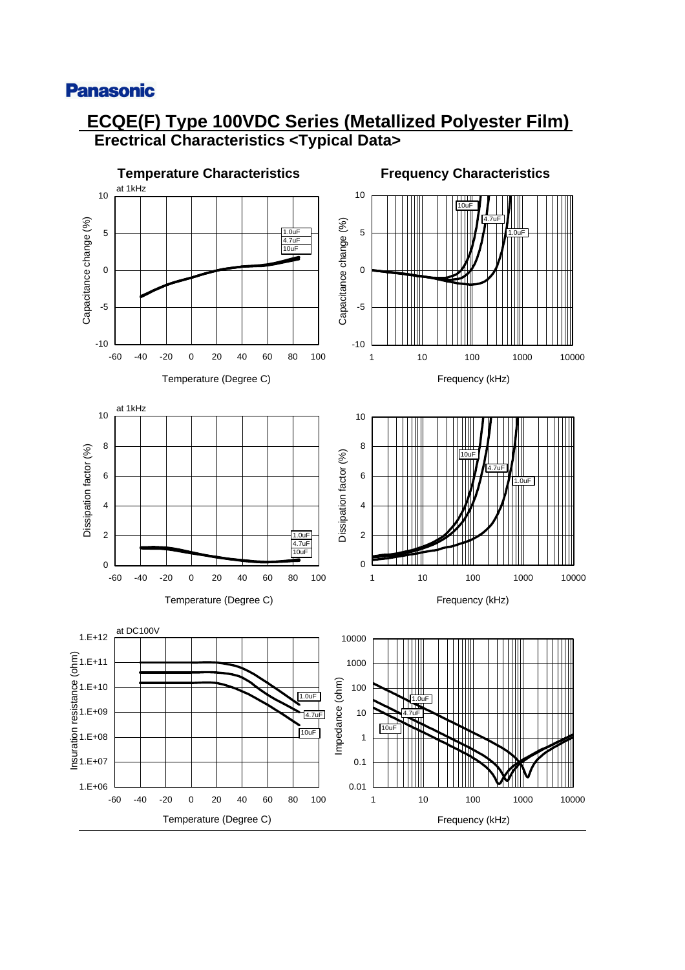## **ECQE(F) Type 100VDC Series (Metallized Polyester Film) Erectrical Characteristics <Typical Data>**

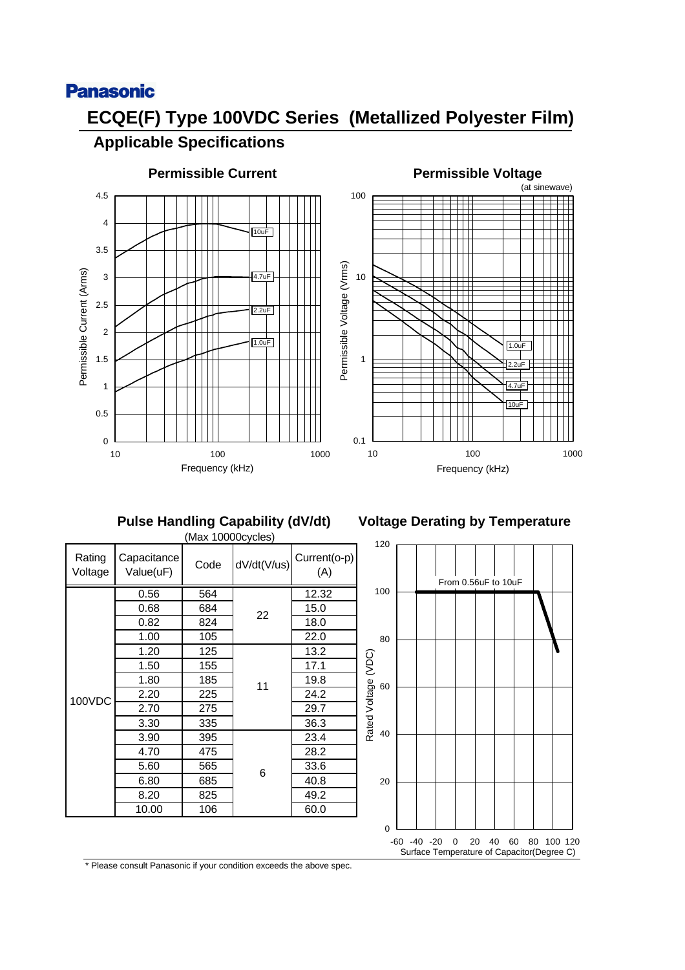# **ECQE(F) Type 100VDC Series (Metallized Polyester Film) Applicable Specifications**



# **Permissible Current Permissible Voltage**



# **Pulse Handling Capability (dV/dt)**

|                   |                          | (Max 10000cycles) |             |                     |
|-------------------|--------------------------|-------------------|-------------|---------------------|
| Rating<br>Voltage | Capacitance<br>Value(uF) | Code              | dV/dt(V/us) | Current(o-p)<br>(A) |
| 100VDC            | 0.56                     | 564               |             | 12.32               |
|                   | 0.68                     | 684               | 22          | 15.0                |
|                   | 0.82                     | 824               |             | 18.0                |
|                   | 1.00                     | 105               |             | 22.0                |
|                   | 1.20                     | 125               | 11          | 13.2                |
|                   | 1.50                     | 155               |             | 17.1                |
|                   | 1.80                     | 185               |             | 19.8                |
|                   | 2.20                     | 225               |             | 24.2                |
|                   | 2.70                     | 275               |             | 29.7                |
|                   | 3.30                     | 335               |             | 36.3                |
|                   | 3.90                     | 395               |             | 23.4                |
|                   | 4.70                     | 475               |             | 28.2                |
|                   | 5.60                     | 565               |             | 33.6                |
|                   | 6.80                     | 685               | 6           | 40.8                |
|                   | 8.20                     | 825               |             | 49.2                |
|                   | 10.00                    | 106               |             | 60.0                |

## **Voltage Derating by Temperature**

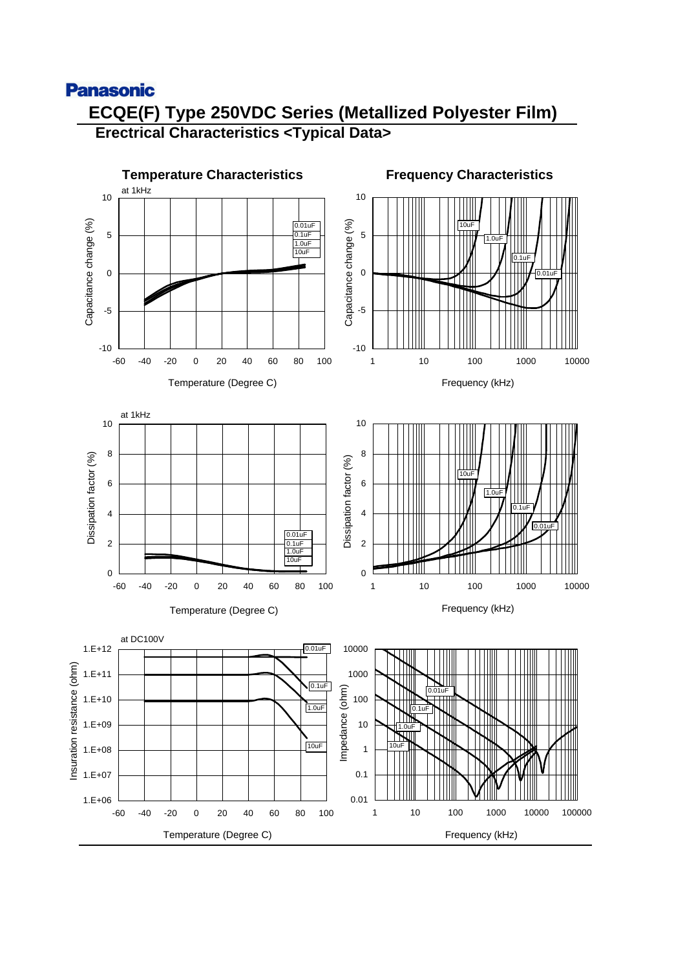## **Panasonic ECQE(F) Type 250VDC Series (Metallized Polyester Film) Erectrical Characteristics <Typical Data>**

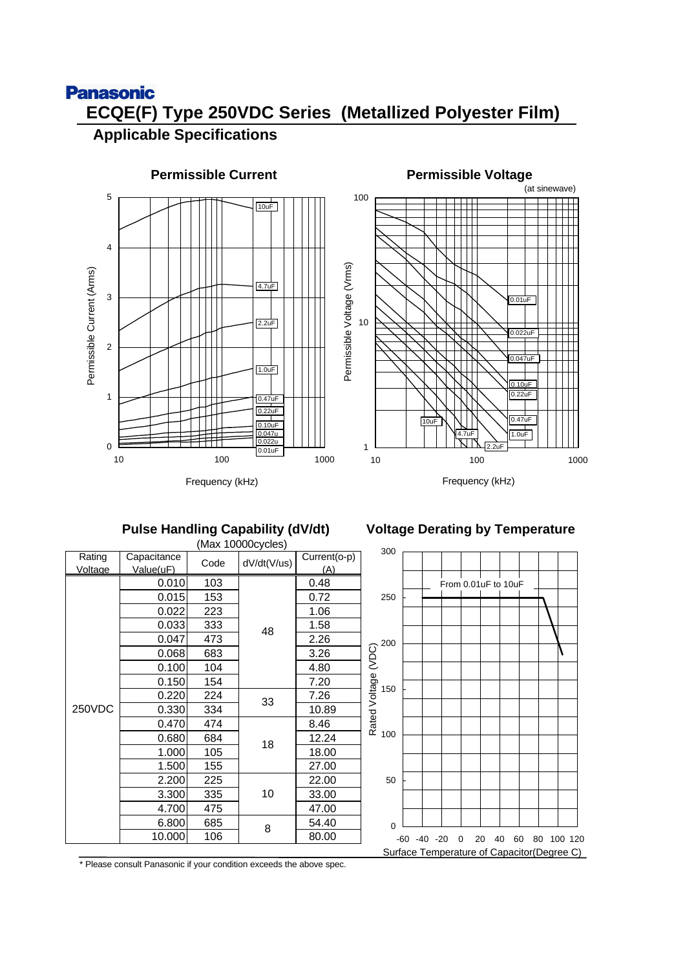# **Panasonic ECQE(F) Type 250VDC Series (Metallized Polyester Film)**

## **Applicable Specifications**





Frequency (kHz)

## **Pulse Handling Capability (dV/dt) Voltage Derating by Temperature**

|         |             |      | (Max 10000cycles) |               |               |    |                 |
|---------|-------------|------|-------------------|---------------|---------------|----|-----------------|
| Rating  | Capacitance | Code | dV/dt(V/us)       | Current(o-p)  | 300           |    |                 |
| Voltage | Value(uF)   |      |                   | (A)           |               |    |                 |
|         | 0.010       | 103  |                   | 0.48          |               |    | From            |
|         | 0.015       | 153  |                   | 0.72          | 250           |    |                 |
|         | 0.022       | 223  |                   | 1.06          |               |    |                 |
|         | 0.033       | 333  | 48                | 1.58          |               |    |                 |
|         | 0.047       | 473  |                   | 2.26          | 200           |    |                 |
|         | 0.068       | 683  |                   | 3.26          | (VDC)         |    |                 |
|         | 0.100       | 104  |                   | 4.80          |               |    |                 |
| 0.150   | 154         |      | 7.20              | Rated Voltage |               |    |                 |
|         | 0.220       | 224  | 33                | 7.26          | 150           |    |                 |
| 250VDC  | 0.330       | 334  |                   | 10.89         |               |    |                 |
|         | 0.470       | 474  |                   | 8.46          |               |    |                 |
|         | 0.680       | 684  | 18                | 12.24         | 100           |    |                 |
|         | 1.000       | 105  |                   | 18.00         |               |    |                 |
|         | 1.500       | 155  |                   | 27.00         | 50            |    |                 |
|         | 2.200       | 225  |                   | 22.00         |               |    |                 |
|         | 3.300       | 335  | 10                | 33.00         |               |    |                 |
|         | 4.700       | 475  |                   | 47.00         |               |    |                 |
|         | 6.800       | 685  | 8                 | 54.40         | $\mathbf 0$   |    |                 |
|         | 10.000      | 106  |                   | 80.00         |               |    | $-60 - 40 - 20$ |
|         |             |      |                   |               | $\sim$ $\sim$ | ᠇. |                 |

0 20 40 60 80 100 120 Surface Temperature of Capacitor(Degree C) n 0.01uF to 10uF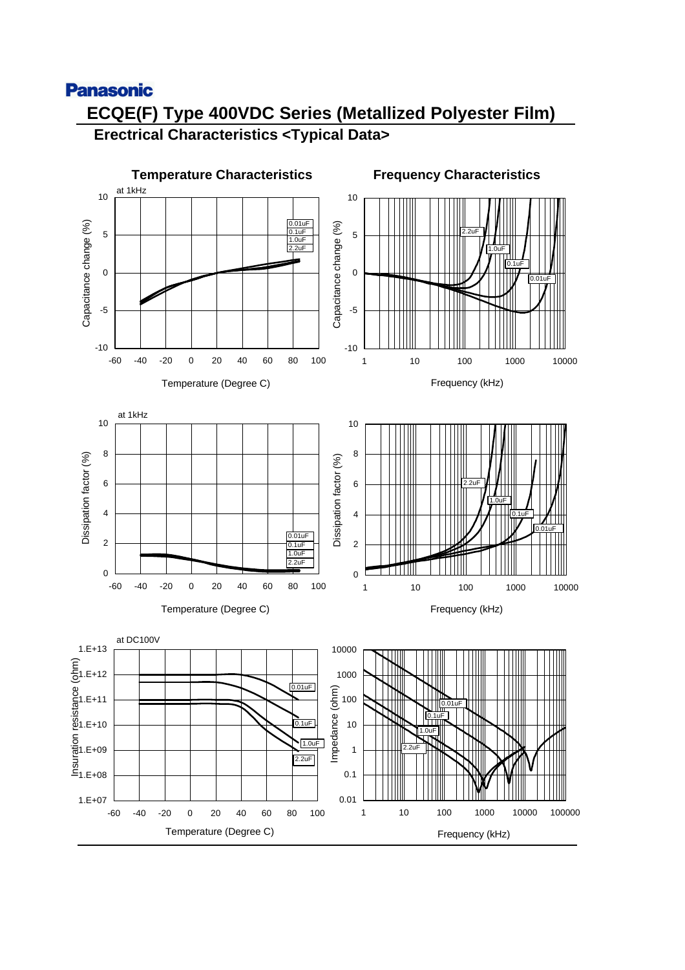## **Panasonic ECQE(F) Type 400VDC Series (Metallized Polyester Film) Erectrical Characteristics <Typical Data>**

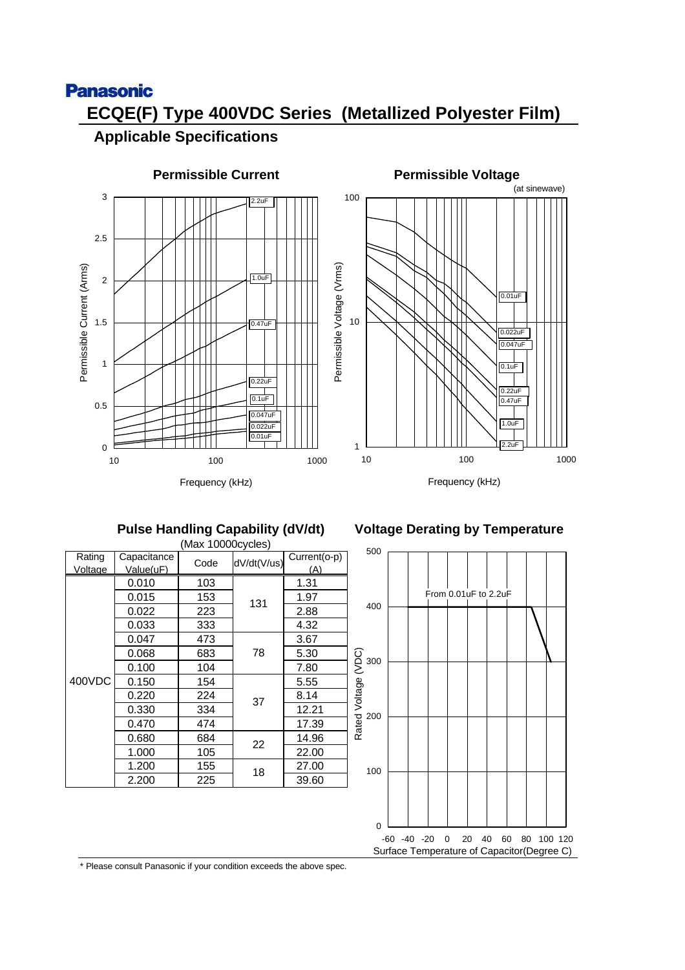# **Panasonic ECQE(F) Type 400VDC Series (Metallized Polyester Film)**

## **Applicable Specifications**





Frequency (kHz)

## **Pulse Handling Capability (dV/dt)**

|                   |                          | (Max 10000cycles) |             |                     |
|-------------------|--------------------------|-------------------|-------------|---------------------|
| Rating<br>Voltage | Capacitance<br>Value(uF) | Code              | dV/dt(V/us) | Current(o-p)<br>(A) |
|                   | 0.010                    | 103               |             | 1.31                |
|                   |                          |                   |             |                     |
|                   | 0.015                    | 153               | 131         | 1.97                |
|                   | 0.022                    | 223               |             | 2.88                |
|                   | 0.033                    | 333               |             | 4.32                |
| 400VDC            | 0.047                    | 473               |             | 3.67                |
|                   | 0.068                    | 683               | 78          | 5.30                |
|                   | 0.100                    | 104               |             | 7.80                |
|                   | 0.150                    | 154               |             | 5.55                |
|                   | 0.220                    | 224               | 37          | 8.14                |
|                   | 0.330                    | 334               |             | 12.21               |
|                   | 0.470                    | 474               |             | 17.39               |
|                   | 0.680                    | 684               | 22          | 14.96               |
|                   | 1.000                    | 105               |             | 22.00               |
|                   | 1.200                    | 155               | 18          | 27.00               |
|                   | 2.200                    | 225               |             | 39.60               |

### **Voltage Derating by Temperature**

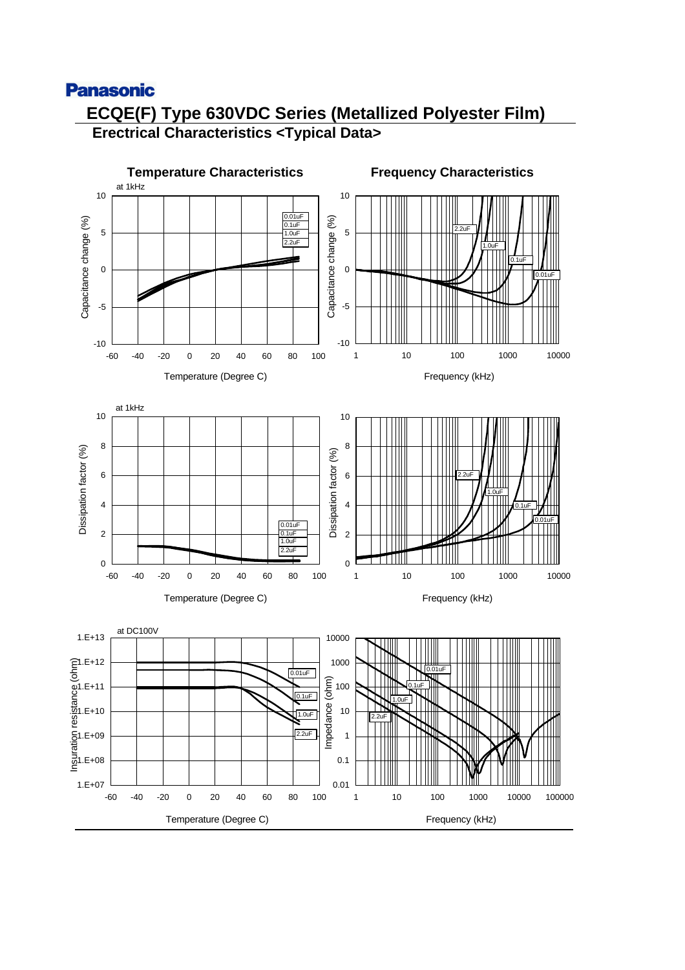## **Panasonic ECQE(F) Type 630VDC Series (Metallized Polyester Film) Erectrical Characteristics <Typical Data>**

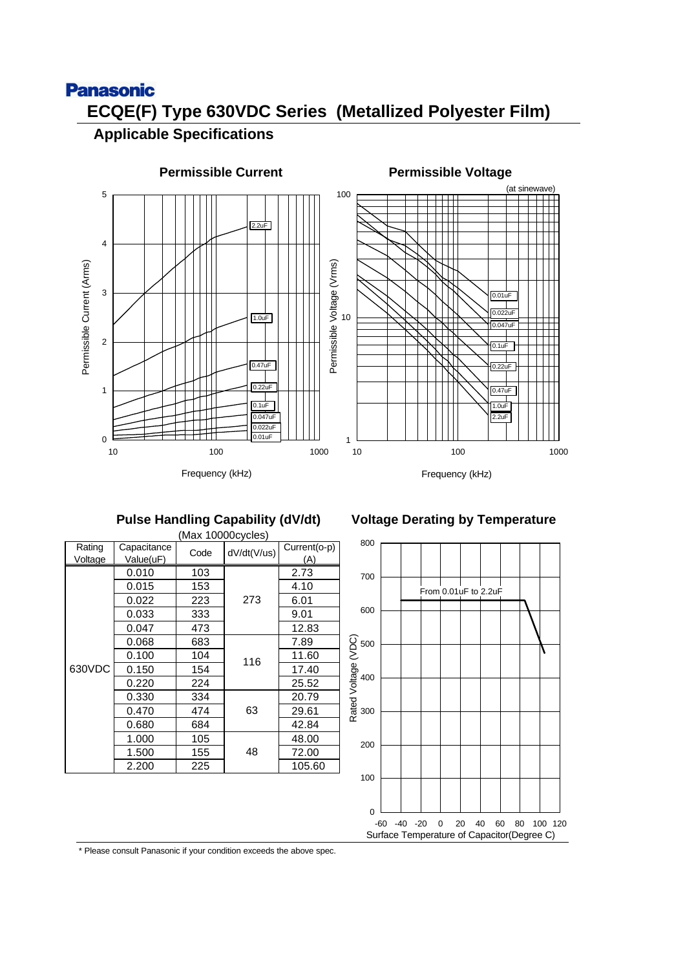# **Panasonic ECQE(F) Type 630VDC Series (Metallized Polyester Film)**

## **Applicable Specifications**



### **Pulse Handling Capability (dV/dt)**

|         |             |                     | (Max 10000cycles) |        |  |              |
|---------|-------------|---------------------|-------------------|--------|--|--------------|
| Rating  | Capacitance | dV/dt(V/us)<br>Code |                   |        |  | Current(o-p) |
| Voltage | Value(uF)   |                     |                   | (A)    |  |              |
|         | 0.010       | 103                 |                   | 2.73   |  |              |
|         | 0.015       | 153                 |                   | 4.10   |  |              |
| 630VDC  | 0.022       | 223                 | 273               | 6.01   |  |              |
|         | 0.033       | 333                 |                   | 9.01   |  |              |
|         | 0.047       | 473                 |                   | 12.83  |  |              |
|         | 0.068       | 683                 |                   | 7.89   |  |              |
|         | 0.100       | 104                 | 116               | 11.60  |  |              |
|         | 0.150       | 154                 |                   | 17.40  |  |              |
|         | 0.220       | 224                 |                   | 25.52  |  |              |
|         | 0.330       | 334                 |                   | 20.79  |  |              |
|         | 0.470       | 474                 | 63                | 29.61  |  |              |
|         | 0.680       | 684                 |                   | 42.84  |  |              |
|         | 1.000       | 105                 |                   | 48.00  |  |              |
|         | 1.500       | 155                 | 48                | 72.00  |  |              |
|         | 2.200       | 225                 |                   | 105.60 |  |              |

## **Voltage Derating by Temperature**

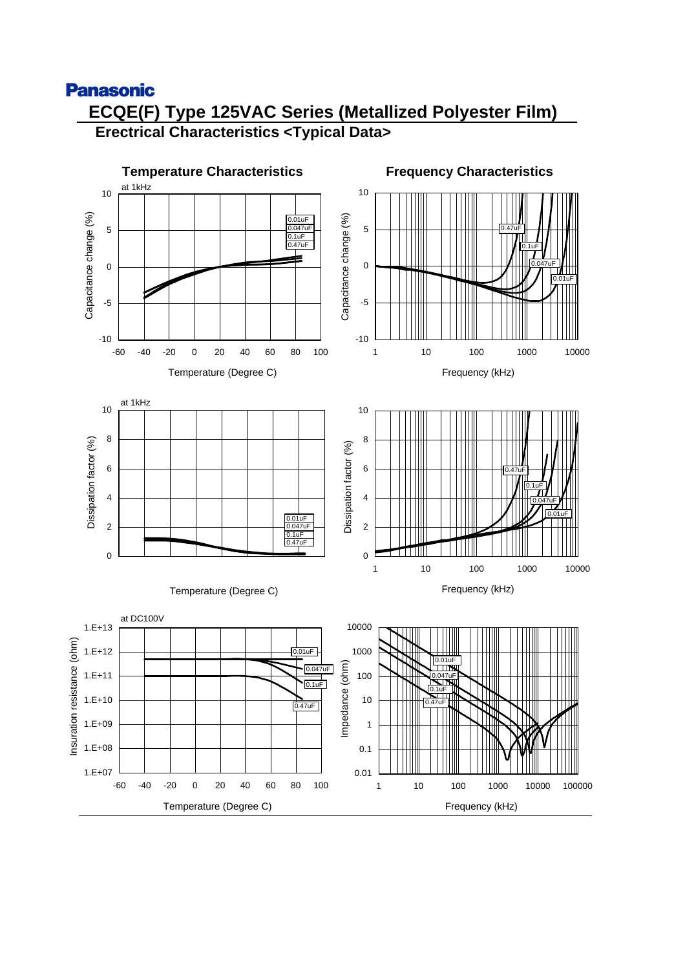## **Panasonic ECQE(F) Type 125VAC Series (Metallized Polyester Film) Erectrical Characteristics <Typical Data>**